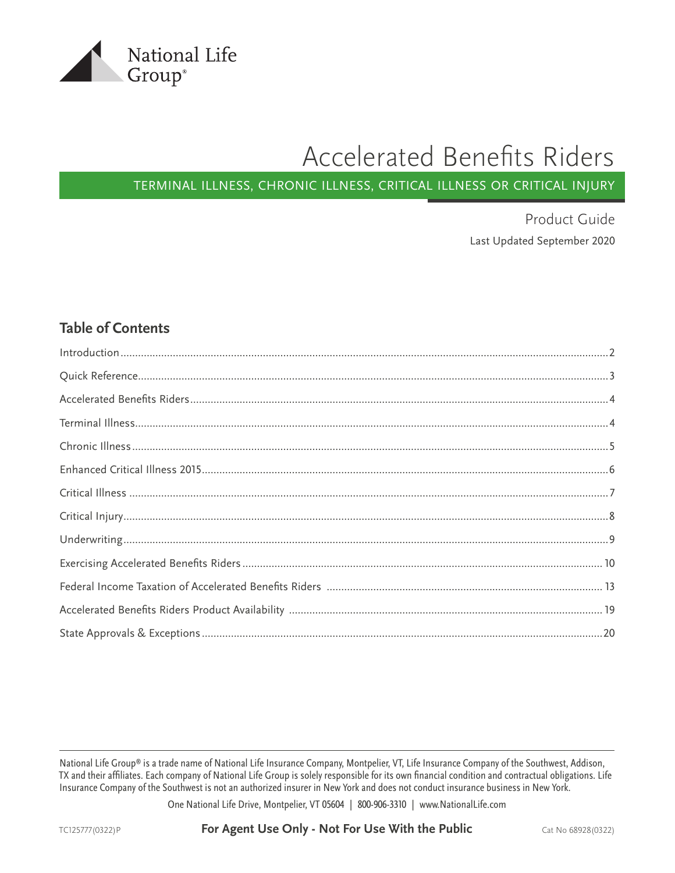

## Accelerated Benefits Riders

### TERMINAL ILLNESS, CHRONIC ILLNESS, CRITICAL ILLNESS OR CRITICAL INJURY

Product Guide Last Updated September 2020

### **Table of Contents**

National Life Group® is a trade name of National Life Insurance Company, Montpelier, VT, Life Insurance Company of the Southwest, Addison, TX and their affiliates. Each company of National Life Group is solely responsible for its own financial condition and contractual obligations. Life Insurance Company of the Southwest is not an authorized insurer in New York and does not conduct insurance business in New York.

One National Life Drive, Montpelier, VT 05604 | 800-906-3310 | www.NationalLife.com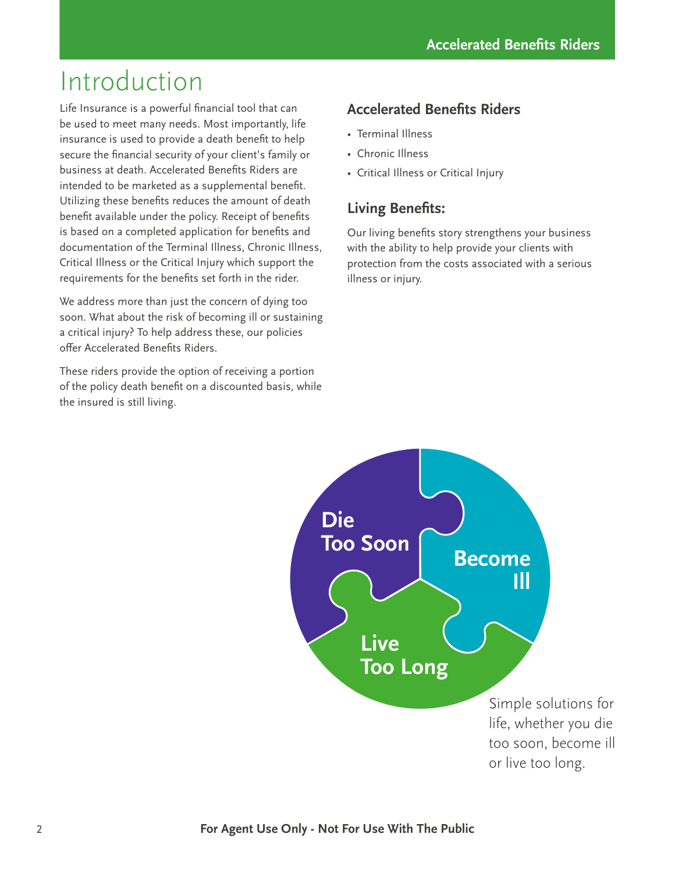## <span id="page-1-0"></span>Introduction

Life Insurance is a powerful financial tool that can be used to meet many needs. Most importantly, life insurance is used to provide a death benefit to help secure the financial security of your client's family or business at death. Accelerated Benefits Riders are intended to be marketed as a supplemental benefit. Utilizing these benefits reduces the amount of death benefit available under the policy. Receipt of benefits is based on a completed application for benefits and documentation of the Terminal Illness, Chronic Illness, Critical Illness or the Critical Injury which support the requirements for the benefits set forth in the rider.

We address more than just the concern of dying too soon. What about the risk of becoming ill or sustaining a critical injury? To help address these, our policies offer Accelerated Benefits Riders.

These riders provide the option of receiving a portion of the policy death benefit on a discounted basis, while the insured is still living.

### **Accelerated Benefits Riders**

- Terminal Illness
- Chronic Illness
- Critical Illness or Critical Injury

### **Living Benefits:**

Our living benefits story strengthens your business with the ability to help provide your clients with protection from the costs associated with a serious illness or injury.

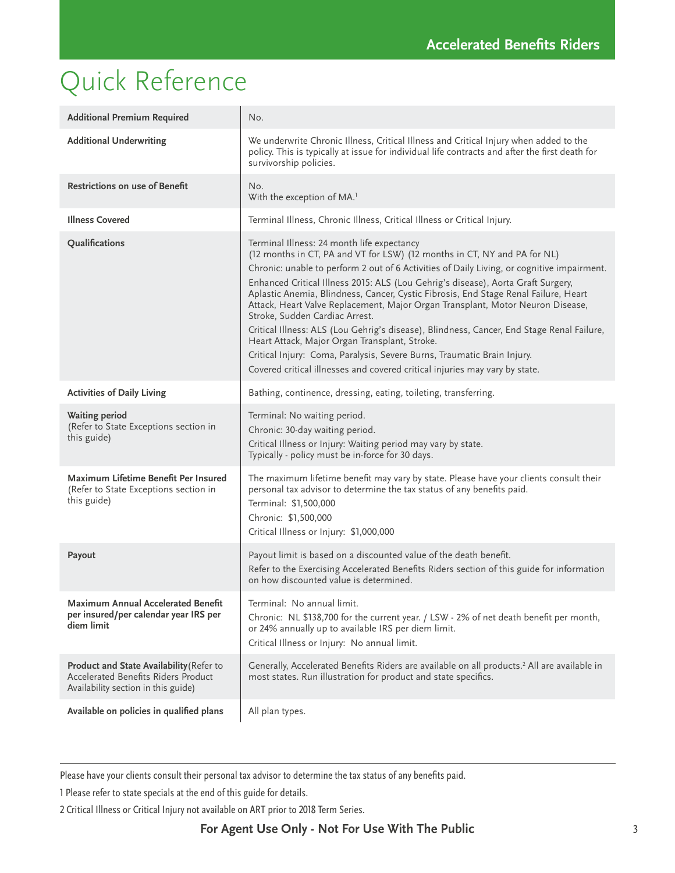## <span id="page-2-0"></span>Quick Reference

| <b>Additional Premium Required</b>                                                                                     | No.                                                                                                                                                                                                                                                                                                                                                                                                                                                                                                                                                                                                                                                                                                                                                                                                                         |
|------------------------------------------------------------------------------------------------------------------------|-----------------------------------------------------------------------------------------------------------------------------------------------------------------------------------------------------------------------------------------------------------------------------------------------------------------------------------------------------------------------------------------------------------------------------------------------------------------------------------------------------------------------------------------------------------------------------------------------------------------------------------------------------------------------------------------------------------------------------------------------------------------------------------------------------------------------------|
| <b>Additional Underwriting</b>                                                                                         | We underwrite Chronic Illness, Critical Illness and Critical Injury when added to the<br>policy. This is typically at issue for individual life contracts and after the first death for<br>survivorship policies.                                                                                                                                                                                                                                                                                                                                                                                                                                                                                                                                                                                                           |
| <b>Restrictions on use of Benefit</b>                                                                                  | No.<br>With the exception of MA. <sup>1</sup>                                                                                                                                                                                                                                                                                                                                                                                                                                                                                                                                                                                                                                                                                                                                                                               |
| <b>Illness Covered</b>                                                                                                 | Terminal Illness, Chronic Illness, Critical Illness or Critical Injury.                                                                                                                                                                                                                                                                                                                                                                                                                                                                                                                                                                                                                                                                                                                                                     |
| Qualifications                                                                                                         | Terminal Illness: 24 month life expectancy<br>(12 months in CT, PA and VT for LSW) (12 months in CT, NY and PA for NL)<br>Chronic: unable to perform 2 out of 6 Activities of Daily Living, or cognitive impairment.<br>Enhanced Critical Illness 2015: ALS (Lou Gehrig's disease), Aorta Graft Surgery,<br>Aplastic Anemia, Blindness, Cancer, Cystic Fibrosis, End Stage Renal Failure, Heart<br>Attack, Heart Valve Replacement, Major Organ Transplant, Motor Neuron Disease,<br>Stroke, Sudden Cardiac Arrest.<br>Critical Illness: ALS (Lou Gehrig's disease), Blindness, Cancer, End Stage Renal Failure,<br>Heart Attack, Major Organ Transplant, Stroke.<br>Critical Injury: Coma, Paralysis, Severe Burns, Traumatic Brain Injury.<br>Covered critical illnesses and covered critical injuries may vary by state. |
| <b>Activities of Daily Living</b>                                                                                      | Bathing, continence, dressing, eating, toileting, transferring.                                                                                                                                                                                                                                                                                                                                                                                                                                                                                                                                                                                                                                                                                                                                                             |
| <b>Waiting period</b><br>(Refer to State Exceptions section in<br>this guide)                                          | Terminal: No waiting period.<br>Chronic: 30-day waiting period.<br>Critical Illness or Injury: Waiting period may vary by state.<br>Typically - policy must be in-force for 30 days.                                                                                                                                                                                                                                                                                                                                                                                                                                                                                                                                                                                                                                        |
| Maximum Lifetime Benefit Per Insured<br>(Refer to State Exceptions section in<br>this guide)                           | The maximum lifetime benefit may vary by state. Please have your clients consult their<br>personal tax advisor to determine the tax status of any benefits paid.<br>Terminal: \$1,500,000<br>Chronic: \$1,500,000<br>Critical Illness or Injury: \$1,000,000                                                                                                                                                                                                                                                                                                                                                                                                                                                                                                                                                                |
| Payout                                                                                                                 | Payout limit is based on a discounted value of the death benefit.<br>Refer to the Exercising Accelerated Benefits Riders section of this guide for information<br>on how discounted value is determined.                                                                                                                                                                                                                                                                                                                                                                                                                                                                                                                                                                                                                    |
| Maximum Annual Accelerated Benefit<br>per insured/per calendar year IRS per<br>diem limit                              | Terminal: No annual limit.<br>Chronic: NL \$138,700 for the current year. / LSW - 2% of net death benefit per month,<br>or 24% annually up to available IRS per diem limit.<br>Critical Illness or Injury: No annual limit.                                                                                                                                                                                                                                                                                                                                                                                                                                                                                                                                                                                                 |
| Product and State Availability (Refer to<br>Accelerated Benefits Riders Product<br>Availability section in this guide) | Generally, Accelerated Benefits Riders are available on all products. <sup>2</sup> All are available in<br>most states. Run illustration for product and state specifics.                                                                                                                                                                                                                                                                                                                                                                                                                                                                                                                                                                                                                                                   |
| Available on policies in qualified plans                                                                               | All plan types.                                                                                                                                                                                                                                                                                                                                                                                                                                                                                                                                                                                                                                                                                                                                                                                                             |

Please have your clients consult their personal tax advisor to determine the tax status of any benefits paid.

1 Please refer to state specials at the end of this guide for details.

2 Critical Illness or Critical Injury not available on ART prior to 2018 Term Series.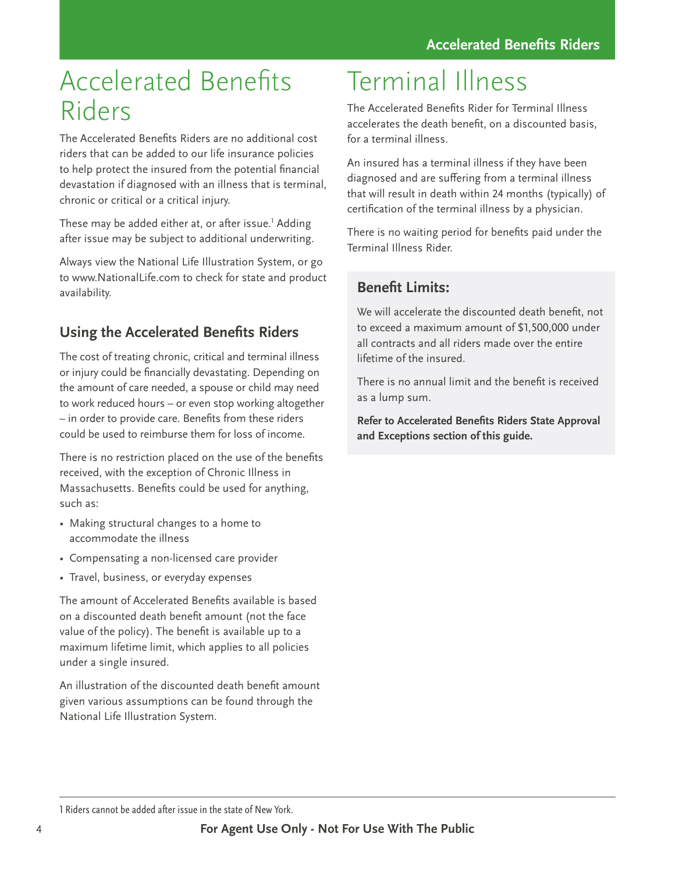## <span id="page-3-0"></span>Accelerated Benefits Riders

The Accelerated Benefits Riders are no additional cost riders that can be added to our life insurance policies to help protect the insured from the potential financial devastation if diagnosed with an illness that is terminal, chronic or critical or a critical injury.

These may be added either at, or after issue.<sup>1</sup> Adding after issue may be subject to additional underwriting.

Always view the National Life Illustration System, or go to www.NationalLife.com to check for state and product availability.

## **Using the Accelerated Benefits Riders**

The cost of treating chronic, critical and terminal illness or injury could be financially devastating. Depending on the amount of care needed, a spouse or child may need to work reduced hours – or even stop working altogether – in order to provide care. Benefits from these riders could be used to reimburse them for loss of income.

There is no restriction placed on the use of the benefits received, with the exception of Chronic Illness in Massachusetts. Benefits could be used for anything, such as:

- Making structural changes to a home to accommodate the illness
- Compensating a non-licensed care provider
- Travel, business, or everyday expenses

The amount of Accelerated Benefits available is based on a discounted death benefit amount (not the face value of the policy). The benefit is available up to a maximum lifetime limit, which applies to all policies under a single insured.

An illustration of the discounted death benefit amount given various assumptions can be found through the National Life Illustration System.

## Terminal Illness

The Accelerated Benefits Rider for Terminal Illness accelerates the death benefit, on a discounted basis, for a terminal illness.

An insured has a terminal illness if they have been diagnosed and are suffering from a terminal illness that will result in death within 24 months (typically) of certification of the terminal illness by a physician.

There is no waiting period for benefits paid under the Terminal Illness Rider.

## **Benefit Limits:**

We will accelerate the discounted death benefit, not to exceed a maximum amount of \$1,500,000 under all contracts and all riders made over the entire lifetime of the insured.

There is no annual limit and the benefit is received as a lump sum.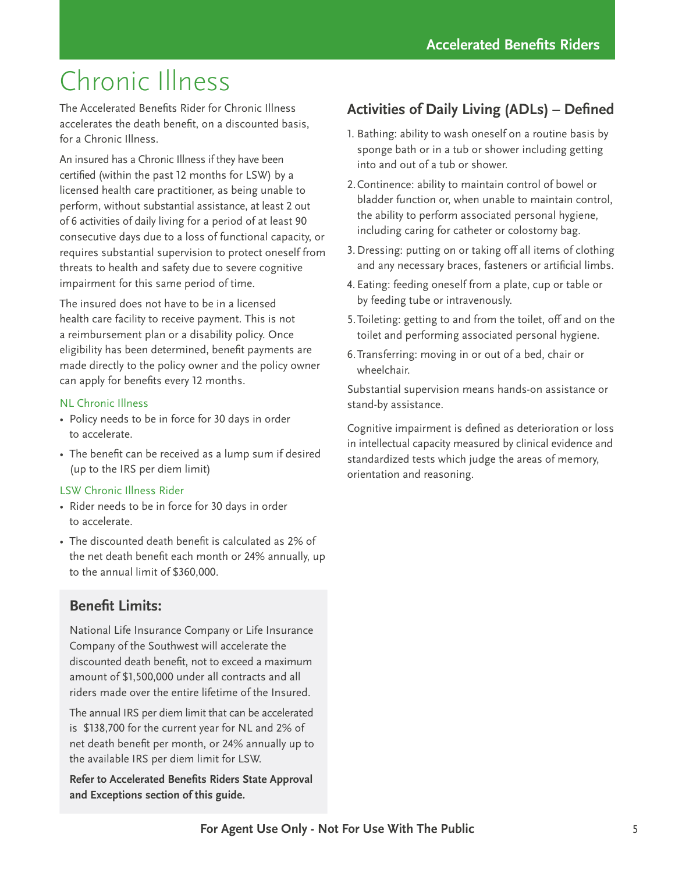## <span id="page-4-0"></span>Chronic Illness

The Accelerated Benefits Rider for Chronic Illness accelerates the death benefit, on a discounted basis, for a Chronic Illness.

An insured has a Chronic Illness if they have been certified (within the past 12 months for LSW) by a licensed health care practitioner, as being unable to perform, without substantial assistance, at least 2 out of 6 activities of daily living for a period of at least 90 consecutive days due to a loss of functional capacity, or requires substantial supervision to protect oneself from threats to health and safety due to severe cognitive impairment for this same period of time.

The insured does not have to be in a licensed health care facility to receive payment. This is not a reimbursement plan or a disability policy. Once eligibility has been determined, benefit payments are made directly to the policy owner and the policy owner can apply for benefits every 12 months.

#### NL Chronic Illness

- Policy needs to be in force for 30 days in order to accelerate.
- The benefit can be received as a lump sum if desired (up to the IRS per diem limit)

#### LSW Chronic Illness Rider

- Rider needs to be in force for 30 days in order to accelerate.
- The discounted death benefit is calculated as 2% of the net death benefit each month or 24% annually, up to the annual limit of \$360,000.

## **Benefit Limits:**

National Life Insurance Company or Life Insurance Company of the Southwest will accelerate the discounted death benefit, not to exceed a maximum amount of \$1,500,000 under all contracts and all riders made over the entire lifetime of the Insured.

The annual IRS per diem limit that can be accelerated is \$138,700 for the current year for NL and 2% of net death benefit per month, or 24% annually up to the available IRS per diem limit for LSW.

**Refer to Accelerated Benefits Riders State Approval and Exceptions section of this guide.**

## **Activities of Daily Living (ADLs) – Defined**

- 1. Bathing: ability to wash oneself on a routine basis by sponge bath or in a tub or shower including getting into and out of a tub or shower.
- 2.Continence: ability to maintain control of bowel or bladder function or, when unable to maintain control, the ability to perform associated personal hygiene, including caring for catheter or colostomy bag.
- 3.Dressing: putting on or taking off all items of clothing and any necessary braces, fasteners or artificial limbs.
- 4. Eating: feeding oneself from a plate, cup or table or by feeding tube or intravenously.
- 5.Toileting: getting to and from the toilet, off and on the toilet and performing associated personal hygiene.
- 6.Transferring: moving in or out of a bed, chair or wheelchair.

Substantial supervision means hands-on assistance or stand-by assistance.

Cognitive impairment is defined as deterioration or loss in intellectual capacity measured by clinical evidence and standardized tests which judge the areas of memory, orientation and reasoning.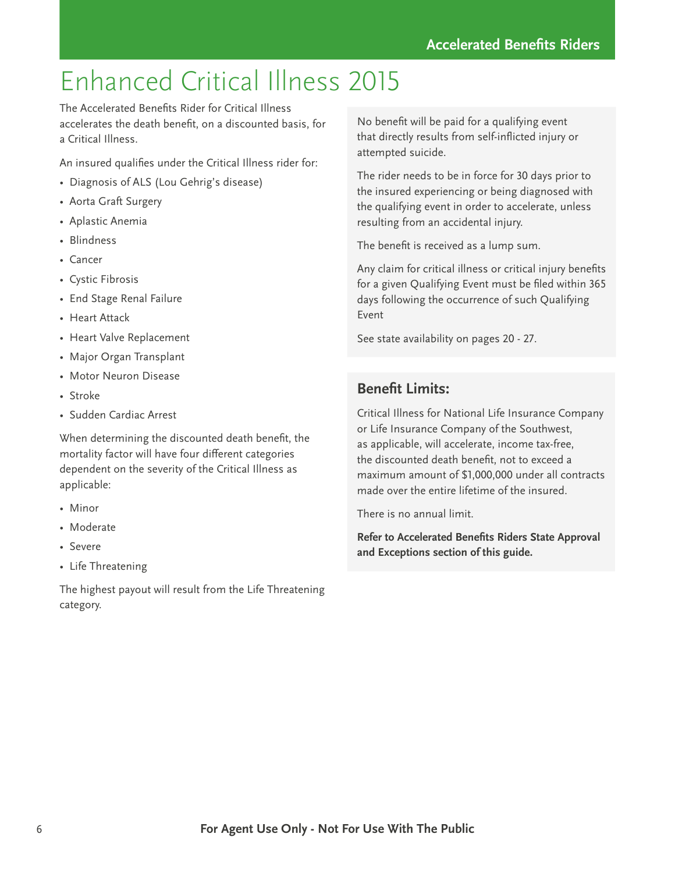## <span id="page-5-0"></span>Enhanced Critical Illness 2015

The Accelerated Benefits Rider for Critical Illness accelerates the death benefit, on a discounted basis, for a Critical Illness.

An insured qualifies under the Critical Illness rider for:

- Diagnosis of ALS (Lou Gehrig's disease)
- Aorta Graft Surgery
- Aplastic Anemia
- Blindness
- Cancer
- Cystic Fibrosis
- End Stage Renal Failure
- Heart Attack
- Heart Valve Replacement
- Major Organ Transplant
- Motor Neuron Disease
- Stroke
- Sudden Cardiac Arrest

When determining the discounted death benefit, the mortality factor will have four different categories dependent on the severity of the Critical Illness as applicable:

- Minor
- Moderate
- Severe
- Life Threatening

The highest payout will result from the Life Threatening category.

No benefit will be paid for a qualifying event that directly results from self-inflicted injury or attempted suicide.

The rider needs to be in force for 30 days prior to the insured experiencing or being diagnosed with the qualifying event in order to accelerate, unless resulting from an accidental injury.

The benefit is received as a lump sum.

Any claim for critical illness or critical injury benefits for a given Qualifying Event must be filed within 365 days following the occurrence of such Qualifying Event

See state availability on pages 20 - 27.

## **Benefit Limits:**

Critical Illness for National Life Insurance Company or Life Insurance Company of the Southwest, as applicable, will accelerate, income tax-free, the discounted death benefit, not to exceed a maximum amount of \$1,000,000 under all contracts made over the entire lifetime of the insured.

There is no annual limit.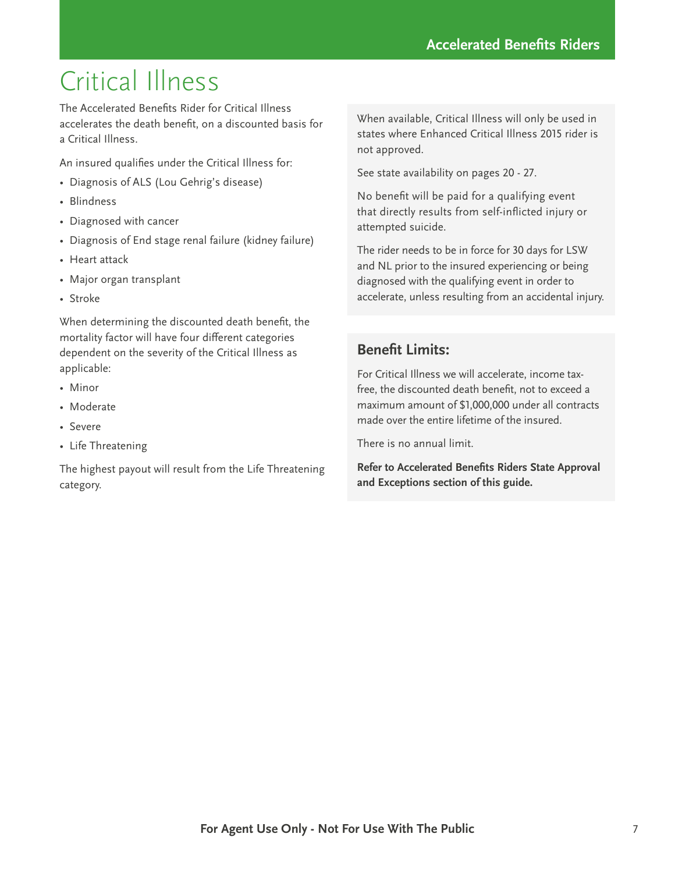## <span id="page-6-0"></span>Critical Illness

The Accelerated Benefits Rider for Critical Illness accelerates the death benefit, on a discounted basis for a Critical Illness.

An insured qualifies under the Critical Illness for:

- Diagnosis of ALS (Lou Gehrig's disease)
- Blindness
- Diagnosed with cancer
- Diagnosis of End stage renal failure (kidney failure)
- Heart attack
- Major organ transplant
- Stroke

When determining the discounted death benefit, the mortality factor will have four different categories dependent on the severity of the Critical Illness as applicable:

- Minor
- Moderate
- Severe
- Life Threatening

The highest payout will result from the Life Threatening category.

When available, Critical Illness will only be used in states where Enhanced Critical Illness 2015 rider is not approved.

See state availability on pages 20 - 27.

No benefit will be paid for a qualifying event that directly results from self-inflicted injury or attempted suicide.

The rider needs to be in force for 30 days for LSW and NL prior to the insured experiencing or being diagnosed with the qualifying event in order to accelerate, unless resulting from an accidental injury.

### **Benefit Limits:**

For Critical Illness we will accelerate, income taxfree, the discounted death benefit, not to exceed a maximum amount of \$1,000,000 under all contracts made over the entire lifetime of the insured.

There is no annual limit.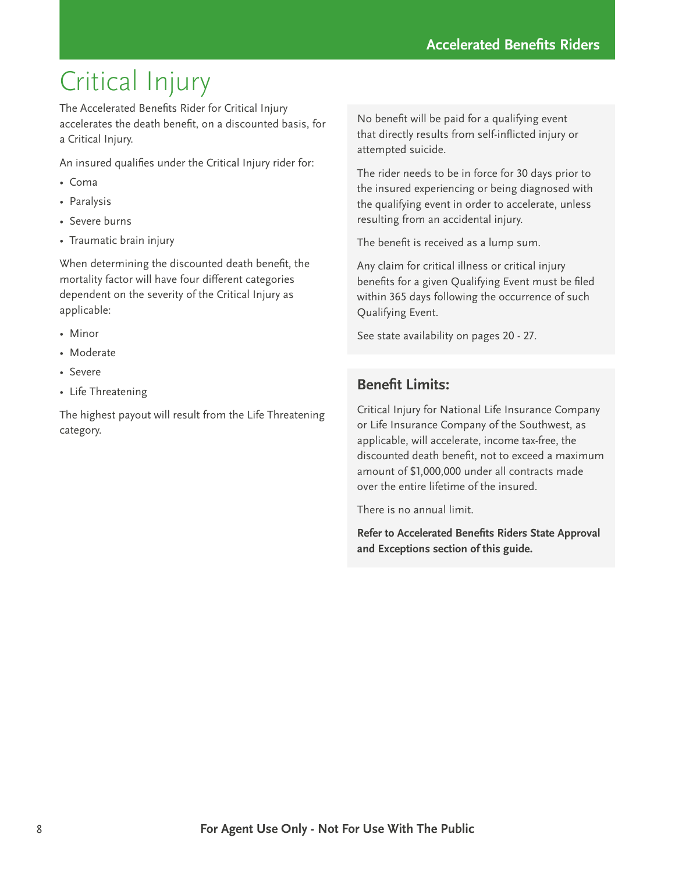## <span id="page-7-0"></span>Critical Injury

The Accelerated Benefits Rider for Critical Injury accelerates the death benefit, on a discounted basis, for a Critical Injury.

An insured qualifies under the Critical Injury rider for:

- Coma
- Paralysis
- Severe burns
- Traumatic brain injury

When determining the discounted death benefit, the mortality factor will have four different categories dependent on the severity of the Critical Injury as applicable:

- Minor
- Moderate
- Severe
- Life Threatening

The highest payout will result from the Life Threatening category.

No benefit will be paid for a qualifying event that directly results from self-inflicted injury or attempted suicide.

The rider needs to be in force for 30 days prior to the insured experiencing or being diagnosed with the qualifying event in order to accelerate, unless resulting from an accidental injury.

The benefit is received as a lump sum.

Any claim for critical illness or critical injury benefits for a given Qualifying Event must be filed within 365 days following the occurrence of such Qualifying Event.

See state availability on pages 20 - 27.

### **Benefit Limits:**

Critical Injury for National Life Insurance Company or Life Insurance Company of the Southwest, as applicable, will accelerate, income tax-free, the discounted death benefit, not to exceed a maximum amount of \$1,000,000 under all contracts made over the entire lifetime of the insured.

There is no annual limit.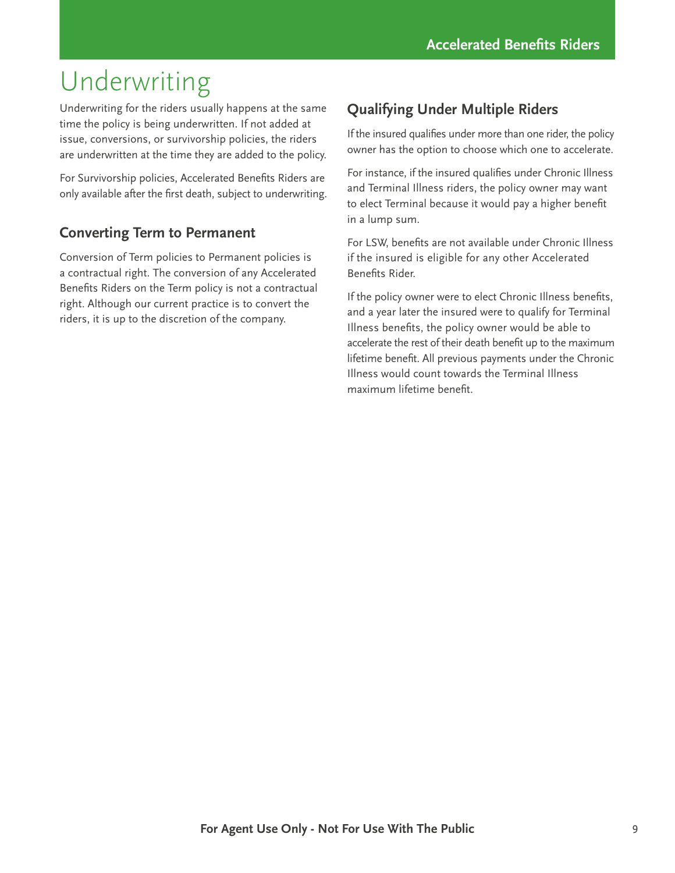## <span id="page-8-0"></span>Underwriting

Underwriting for the riders usually happens at the same time the policy is being underwritten. If not added at issue, conversions, or survivorship policies, the riders are underwritten at the time they are added to the policy.

For Survivorship policies, Accelerated Benefits Riders are only available after the first death, subject to underwriting.

### **Converting Term to Permanent**

Conversion of Term policies to Permanent policies is a contractual right. The conversion of any Accelerated Benefits Riders on the Term policy is not a contractual right. Although our current practice is to convert the riders, it is up to the discretion of the company.

## **Qualifying Under Multiple Riders**

If the insured qualifies under more than one rider, the policy owner has the option to choose which one to accelerate.

For instance, if the insured qualifies under Chronic Illness and Terminal Illness riders, the policy owner may want to elect Terminal because it would pay a higher benefit in a lump sum.

For LSW, benefits are not available under Chronic Illness if the insured is eligible for any other Accelerated Benefits Rider.

If the policy owner were to elect Chronic Illness benefits, and a year later the insured were to qualify for Terminal Illness benefits, the policy owner would be able to accelerate the rest of their death benefit up to the maximum lifetime benefit. All previous payments under the Chronic Illness would count towards the Terminal Illness maximum lifetime benefit.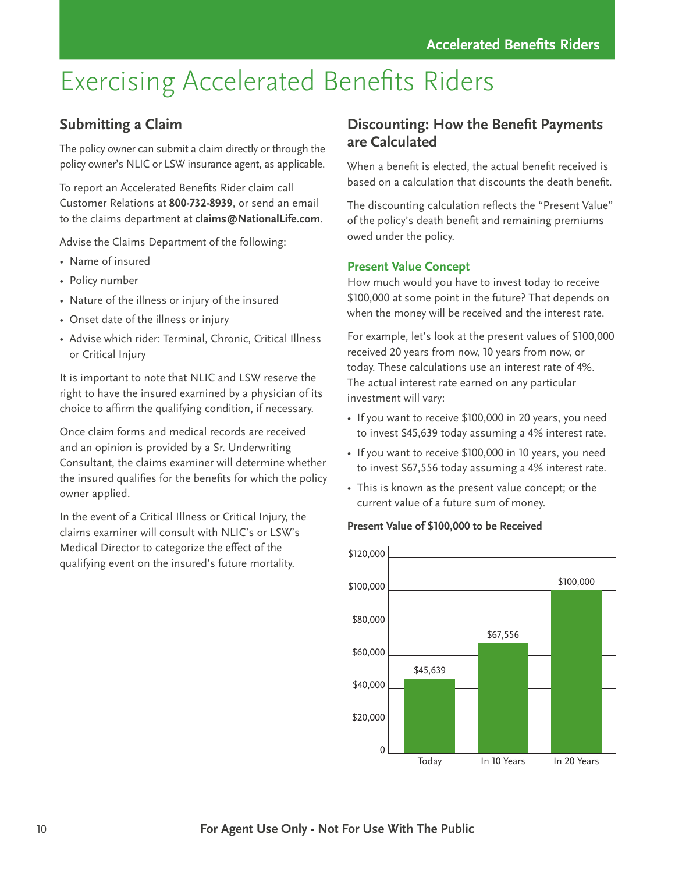## <span id="page-9-0"></span>Exercising Accelerated Benefits Riders

### **Submitting a Claim**

The policy owner can submit a claim directly or through the policy owner's NLIC or LSW insurance agent, as applicable.

To report an Accelerated Benefits Rider claim call Customer Relations at **800-732-8939**, or send an email to the claims department at **claims@NationalLife.com**.

Advise the Claims Department of the following:

- Name of insured
- Policy number
- Nature of the illness or injury of the insured
- Onset date of the illness or injury
- Advise which rider: Terminal, Chronic, Critical Illness or Critical Injury

It is important to note that NLIC and LSW reserve the right to have the insured examined by a physician of its choice to affirm the qualifying condition, if necessary.

Once claim forms and medical records are received and an opinion is provided by a Sr. Underwriting Consultant, the claims examiner will determine whether the insured qualifies for the benefits for which the policy owner applied.

In the event of a Critical Illness or Critical Injury, the claims examiner will consult with NLIC's or LSW's Medical Director to categorize the effect of the qualifying event on the insured's future mortality.

### **Discounting: How the Benefit Payments are Calculated**

When a benefit is elected, the actual benefit received is based on a calculation that discounts the death benefit.

The discounting calculation reflects the "Present Value" of the policy's death benefit and remaining premiums owed under the policy.

#### **Present Value Concept**

How much would you have to invest today to receive \$100,000 at some point in the future? That depends on when the money will be received and the interest rate.

For example, let's look at the present values of \$100,000 received 20 years from now, 10 years from now, or today. These calculations use an interest rate of 4%. The actual interest rate earned on any particular investment will vary:

- If you want to receive \$100,000 in 20 years, you need to invest \$45,639 today assuming a 4% interest rate.
- If you want to receive \$100,000 in 10 years, you need to invest \$67,556 today assuming a 4% interest rate.
- This is known as the present value concept; or the current value of a future sum of money.

#### **Present Value of \$100,000 to be Received**

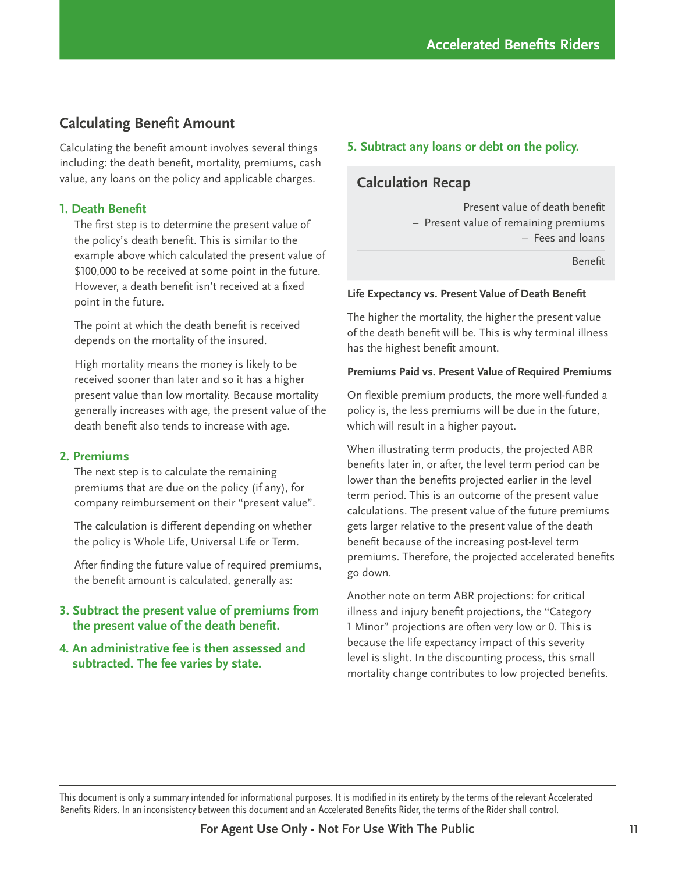## **Calculating Benefit Amount**

Calculating the benefit amount involves several things including: the death benefit, mortality, premiums, cash value, any loans on the policy and applicable charges.

#### **1. Death Benefit**

The first step is to determine the present value of the policy's death benefit. This is similar to the example above which calculated the present value of \$100,000 to be received at some point in the future. However, a death benefit isn't received at a fixed point in the future.

The point at which the death benefit is received depends on the mortality of the insured.

High mortality means the money is likely to be received sooner than later and so it has a higher present value than low mortality. Because mortality generally increases with age, the present value of the death benefit also tends to increase with age.

#### **2. Premiums**

The next step is to calculate the remaining premiums that are due on the policy (if any), for company reimbursement on their "present value".

The calculation is different depending on whether the policy is Whole Life, Universal Life or Term.

After finding the future value of required premiums, the benefit amount is calculated, generally as:

- **3. Subtract the present value of premiums from the present value of the death benefit.**
- **4. An administrative fee is then assessed and subtracted. The fee varies by state.**

#### **5. Subtract any loans or debt on the policy.**

### **Calculation Recap**

Present value of death benefit – Present value of remaining premiums – Fees and loans

Benefit

#### **Life Expectancy vs. Present Value of Death Benefit**

The higher the mortality, the higher the present value of the death benefit will be. This is why terminal illness has the highest benefit amount.

#### **Premiums Paid vs. Present Value of Required Premiums**

On flexible premium products, the more well-funded a policy is, the less premiums will be due in the future, which will result in a higher payout.

When illustrating term products, the projected ABR benefits later in, or after, the level term period can be lower than the benefits projected earlier in the level term period. This is an outcome of the present value calculations. The present value of the future premiums gets larger relative to the present value of the death benefit because of the increasing post-level term premiums. Therefore, the projected accelerated benefits go down.

Another note on term ABR projections: for critical illness and injury benefit projections, the "Category 1 Minor" projections are often very low or 0. This is because the life expectancy impact of this severity level is slight. In the discounting process, this small mortality change contributes to low projected benefits.

This document is only a summary intended for informational purposes. It is modified in its entirety by the terms of the relevant Accelerated Benefits Riders. In an inconsistency between this document and an Accelerated Benefits Rider, the terms of the Rider shall control.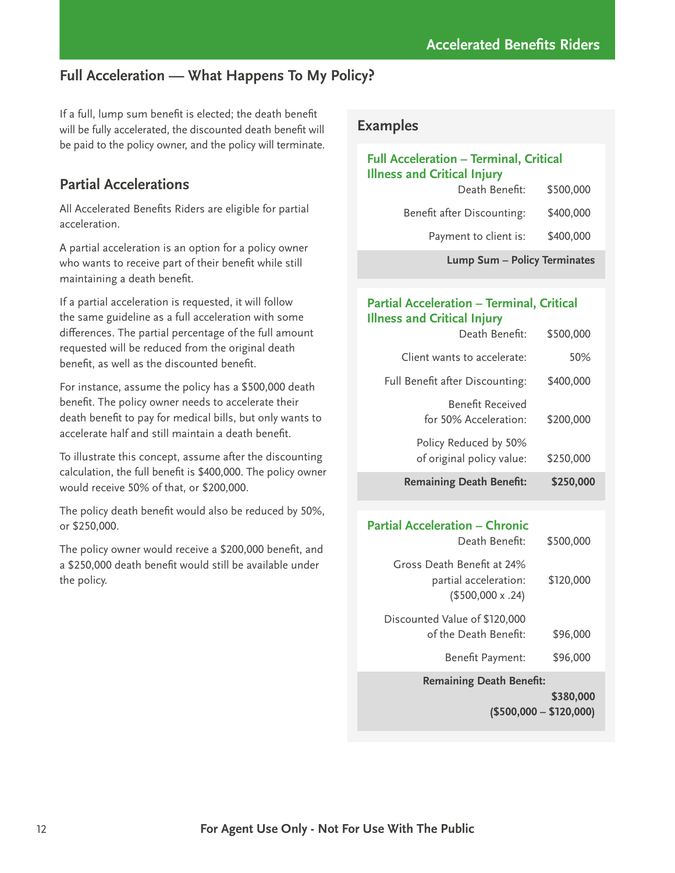## **Full Acceleration — What Happens To My Policy?**

If a full, lump sum benefit is elected; the death benefit<br>will be fully accelerated, the discounted death benefit will **Examples** be paid to the policy owner, and the policy will terminate.

### **Partial Accelerations**

All Accelerated Benefits Riders are eligible for partial acceleration.

A partial acceleration is an option for a policy owner who wants to receive part of their benefit while still maintaining a death benefit.

If a partial acceleration is requested, it will follow the same guideline as a full acceleration with some differences. The partial percentage of the full amount requested will be reduced from the original death benefit, as well as the discounted benefit.

For instance, assume the policy has a \$500,000 death benefit. The policy owner needs to accelerate their death benefit to pay for medical bills, but only wants to accelerate half and still maintain a death benefit.

To illustrate this concept, assume after the discounting calculation, the full benefit is \$400,000. The policy owner would receive 50% of that, or \$200,000.

The policy death benefit would also be reduced by 50%, or \$250,000.

The policy owner would receive a \$200,000 benefit, and a \$250,000 death benefit would still be available under the policy.

#### **Full Acceleration – Terminal, Critical Illness and Critical Injury**

| Death Benefit:             | \$500,000 |
|----------------------------|-----------|
| Benefit after Discounting: | \$400,000 |
| Payment to client is:      | \$400,000 |

**Lump Sum – Policy Terminates**

#### **Partial Acceleration – Terminal, Critical Illness and Critical Injury**

| <b>Remaining Death Benefit:</b>                    | \$250,000 |
|----------------------------------------------------|-----------|
| Policy Reduced by 50%<br>of original policy value: | \$250,000 |
| Benefit Received<br>for 50% Acceleration:          | \$200,000 |
| Full Benefit after Discounting:                    | \$400,000 |
| Client wants to accelerate:                        | 50%       |
| Death Benefit:                                     | \$500,000 |

#### **Partial Acceleration – Chronic** Death Benefit: \$500,000

|                                                                                | \$380,000 |
|--------------------------------------------------------------------------------|-----------|
| <b>Remaining Death Benefit:</b>                                                |           |
| Benefit Payment:                                                               | \$96,000  |
| Discounted Value of \$120,000<br>of the Death Benefit:                         | \$96,000  |
| Gross Death Benefit at 24%<br>partial acceleration:<br>$($500,000 \times .24)$ | \$120,000 |
| i jezili delletil.                                                             | OUU,UUU   |

**(\$500,000 – \$120,000)**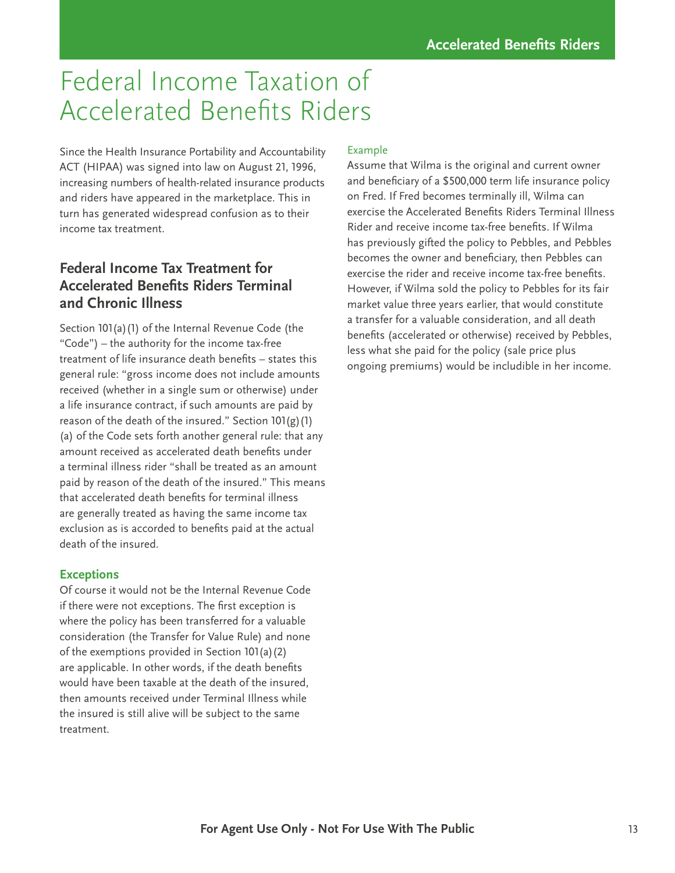## <span id="page-12-0"></span>Federal Income Taxation of Accelerated Benefits Riders

Since the Health Insurance Portability and Accountability ACT (HIPAA) was signed into law on August 21, 1996, increasing numbers of health-related insurance products and riders have appeared in the marketplace. This in turn has generated widespread confusion as to their income tax treatment.

### **Federal Income Tax Treatment for Accelerated Benefits Riders Terminal and Chronic Illness**

Section 101(a)(1) of the Internal Revenue Code (the "Code") – the authority for the income tax-free treatment of life insurance death benefits – states this general rule: "gross income does not include amounts received (whether in a single sum or otherwise) under a life insurance contract, if such amounts are paid by reason of the death of the insured." Section 101(g)(1) (a) of the Code sets forth another general rule: that any amount received as accelerated death benefits under a terminal illness rider "shall be treated as an amount paid by reason of the death of the insured." This means that accelerated death benefits for terminal illness are generally treated as having the same income tax exclusion as is accorded to benefits paid at the actual death of the insured.

### **Exceptions**

Of course it would not be the Internal Revenue Code if there were not exceptions. The first exception is where the policy has been transferred for a valuable consideration (the Transfer for Value Rule) and none of the exemptions provided in Section 101(a)(2) are applicable. In other words, if the death benefits would have been taxable at the death of the insured, then amounts received under Terminal Illness while the insured is still alive will be subject to the same treatment.

#### Example

Assume that Wilma is the original and current owner and beneficiary of a \$500,000 term life insurance policy on Fred. If Fred becomes terminally ill, Wilma can exercise the Accelerated Benefits Riders Terminal Illness Rider and receive income tax-free benefits. If Wilma has previously gifted the policy to Pebbles, and Pebbles becomes the owner and beneficiary, then Pebbles can exercise the rider and receive income tax-free benefits. However, if Wilma sold the policy to Pebbles for its fair market value three years earlier, that would constitute a transfer for a valuable consideration, and all death benefits (accelerated or otherwise) received by Pebbles, less what she paid for the policy (sale price plus ongoing premiums) would be includible in her income.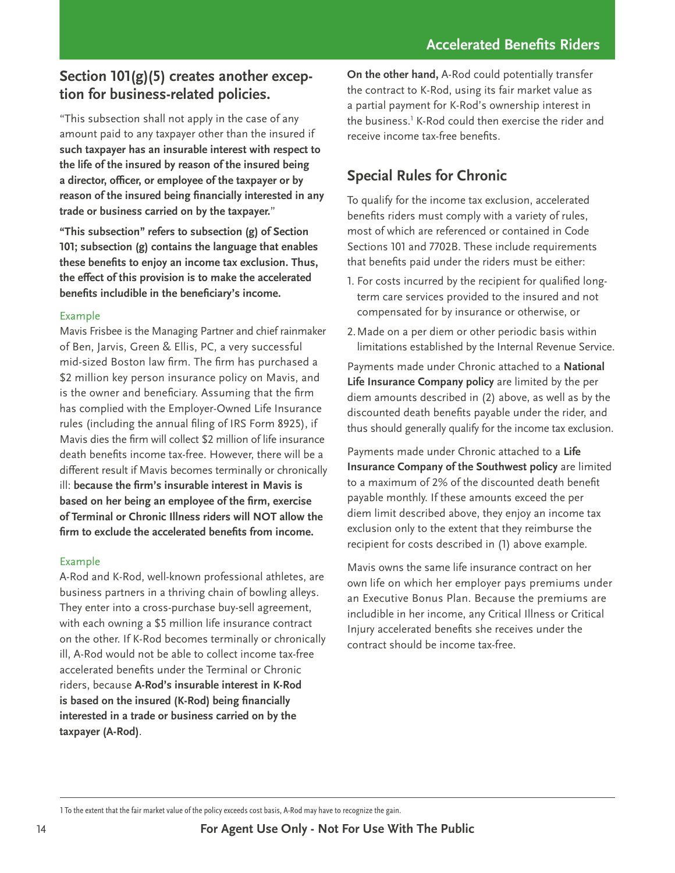## **Section 101(g)(5) creates another exception for business-related policies.**

"This subsection shall not apply in the case of any amount paid to any taxpayer other than the insured if **such taxpayer has an insurable interest with respect to the life of the insured by reason of the insured being a director, officer, or employee of the taxpayer or by reason of the insured being financially interested in any trade or business carried on by the taxpayer.**"

**"This subsection" refers to subsection (g) of Section 101; subsection (g) contains the language that enables these benefits to enjoy an income tax exclusion. Thus, the effect of this provision is to make the accelerated benefits includible in the beneficiary's income.**

#### Example

Mavis Frisbee is the Managing Partner and chief rainmaker of Ben, Jarvis, Green & Ellis, PC, a very successful mid-sized Boston law firm. The firm has purchased a \$2 million key person insurance policy on Mavis, and is the owner and beneficiary. Assuming that the firm has complied with the Employer-Owned Life Insurance rules (including the annual filing of IRS Form 8925), if Mavis dies the firm will collect \$2 million of life insurance death benefits income tax-free. However, there will be a different result if Mavis becomes terminally or chronically ill: **because the firm's insurable interest in Mavis is based on her being an employee of the firm, exercise of Terminal or Chronic Illness riders will NOT allow the firm to exclude the accelerated benefits from income.**

#### Example

A-Rod and K-Rod, well-known professional athletes, are business partners in a thriving chain of bowling alleys. They enter into a cross-purchase buy-sell agreement, with each owning a \$5 million life insurance contract on the other. If K-Rod becomes terminally or chronically ill, A-Rod would not be able to collect income tax-free accelerated benefits under the Terminal or Chronic riders, because **A-Rod's insurable interest in K-Rod is based on the insured (K-Rod) being financially interested in a trade or business carried on by the taxpayer (A-Rod)**.

**On the other hand,** A-Rod could potentially transfer the contract to K-Rod, using its fair market value as a partial payment for K-Rod's ownership interest in the business.<sup>1</sup> K-Rod could then exercise the rider and receive income tax-free benefits.

## **Special Rules for Chronic**

To qualify for the income tax exclusion, accelerated benefits riders must comply with a variety of rules, most of which are referenced or contained in Code Sections 101 and 7702B. These include requirements that benefits paid under the riders must be either:

- 1. For costs incurred by the recipient for qualified longterm care services provided to the insured and not compensated for by insurance or otherwise, or
- 2.Made on a per diem or other periodic basis within limitations established by the Internal Revenue Service.

Payments made under Chronic attached to a **National Life Insurance Company policy** are limited by the per diem amounts described in (2) above, as well as by the discounted death benefits payable under the rider, and thus should generally qualify for the income tax exclusion.

Payments made under Chronic attached to a **Life Insurance Company of the Southwest policy** are limited to a maximum of 2% of the discounted death benefit payable monthly. If these amounts exceed the per diem limit described above, they enjoy an income tax exclusion only to the extent that they reimburse the recipient for costs described in (1) above example.

Mavis owns the same life insurance contract on her own life on which her employer pays premiums under an Executive Bonus Plan. Because the premiums are includible in her income, any Critical Illness or Critical Injury accelerated benefits she receives under the contract should be income tax-free.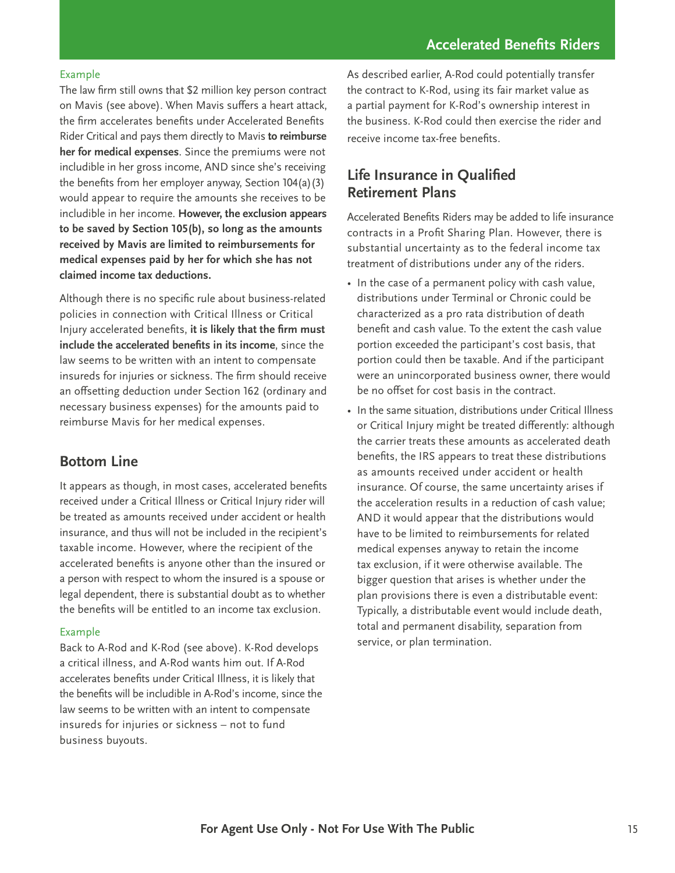#### Example

The law firm still owns that \$2 million key person contract on Mavis (see above). When Mavis suffers a heart attack, the firm accelerates benefits under Accelerated Benefits Rider Critical and pays them directly to Mavis **to reimburse her for medical expenses**. Since the premiums were not includible in her gross income, AND since she's receiving the benefits from her employer anyway, Section 104(a)(3) would appear to require the amounts she receives to be includible in her income. **However, the exclusion appears to be saved by Section 105(b), so long as the amounts received by Mavis are limited to reimbursements for medical expenses paid by her for which she has not claimed income tax deductions.** 

Although there is no specific rule about business-related policies in connection with Critical Illness or Critical Injury accelerated benefits, **it is likely that the firm must include the accelerated benefits in its income**, since the law seems to be written with an intent to compensate insureds for injuries or sickness. The firm should receive an offsetting deduction under Section 162 (ordinary and necessary business expenses) for the amounts paid to reimburse Mavis for her medical expenses.

### **Bottom Line**

It appears as though, in most cases, accelerated benefits received under a Critical Illness or Critical Injury rider will be treated as amounts received under accident or health insurance, and thus will not be included in the recipient's taxable income. However, where the recipient of the accelerated benefits is anyone other than the insured or a person with respect to whom the insured is a spouse or legal dependent, there is substantial doubt as to whether the benefits will be entitled to an income tax exclusion.

#### Example

Back to A-Rod and K-Rod (see above). K-Rod develops a critical illness, and A-Rod wants him out. If A-Rod accelerates benefits under Critical Illness, it is likely that the benefits will be includible in A-Rod's income, since the law seems to be written with an intent to compensate insureds for injuries or sickness – not to fund business buyouts.

As described earlier, A-Rod could potentially transfer the contract to K-Rod, using its fair market value as a partial payment for K-Rod's ownership interest in the business. K-Rod could then exercise the rider and receive income tax-free benefits.

### **Life Insurance in Qualified Retirement Plans**

Accelerated Benefits Riders may be added to life insurance contracts in a Profit Sharing Plan. However, there is substantial uncertainty as to the federal income tax treatment of distributions under any of the riders.

- In the case of a permanent policy with cash value, distributions under Terminal or Chronic could be characterized as a pro rata distribution of death benefit and cash value. To the extent the cash value portion exceeded the participant's cost basis, that portion could then be taxable. And if the participant were an unincorporated business owner, there would be no offset for cost basis in the contract.
- In the same situation, distributions under Critical Illness or Critical Injury might be treated differently: although the carrier treats these amounts as accelerated death benefits, the IRS appears to treat these distributions as amounts received under accident or health insurance. Of course, the same uncertainty arises if the acceleration results in a reduction of cash value; AND it would appear that the distributions would have to be limited to reimbursements for related medical expenses anyway to retain the income tax exclusion, if it were otherwise available. The bigger question that arises is whether under the plan provisions there is even a distributable event: Typically, a distributable event would include death, total and permanent disability, separation from service, or plan termination.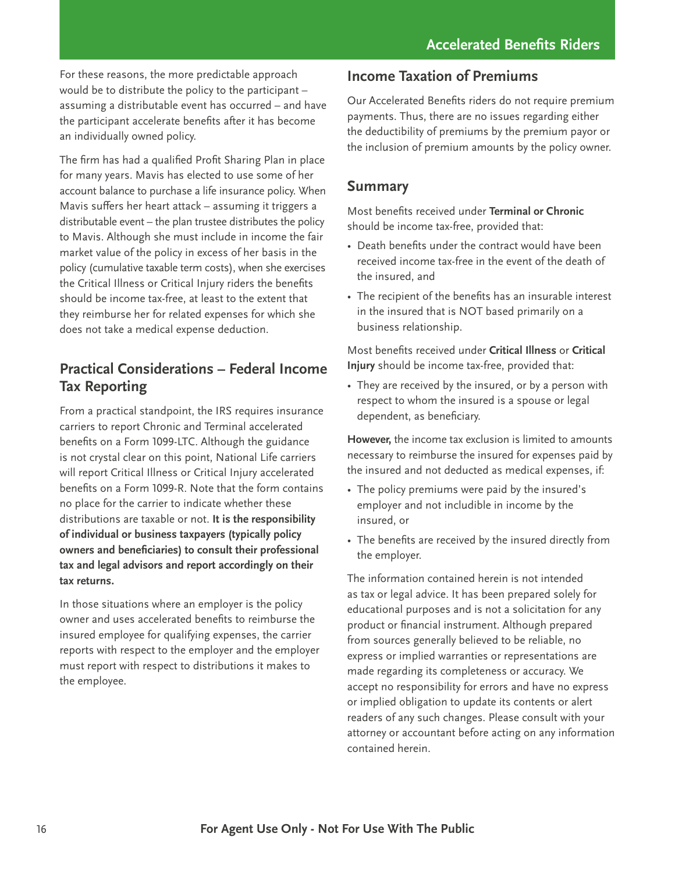For these reasons, the more predictable approach would be to distribute the policy to the participant – assuming a distributable event has occurred – and have the participant accelerate benefits after it has become an individually owned policy.

The firm has had a qualified Profit Sharing Plan in place for many years. Mavis has elected to use some of her account balance to purchase a life insurance policy. When Mavis suffers her heart attack – assuming it triggers a distributable event – the plan trustee distributes the policy to Mavis. Although she must include in income the fair market value of the policy in excess of her basis in the policy (cumulative taxable term costs), when she exercises the Critical Illness or Critical Injury riders the benefits should be income tax-free, at least to the extent that they reimburse her for related expenses for which she does not take a medical expense deduction.

### **Practical Considerations – Federal Income Tax Reporting**

From a practical standpoint, the IRS requires insurance carriers to report Chronic and Terminal accelerated benefits on a Form 1099-LTC. Although the guidance is not crystal clear on this point, National Life carriers will report Critical Illness or Critical Injury accelerated benefits on a Form 1099-R. Note that the form contains no place for the carrier to indicate whether these distributions are taxable or not. **It is the responsibility of individual or business taxpayers (typically policy owners and beneficiaries) to consult their professional tax and legal advisors and report accordingly on their tax returns.**

In those situations where an employer is the policy owner and uses accelerated benefits to reimburse the insured employee for qualifying expenses, the carrier reports with respect to the employer and the employer must report with respect to distributions it makes to the employee.

### **Income Taxation of Premiums**

Our Accelerated Benefits riders do not require premium payments. Thus, there are no issues regarding either the deductibility of premiums by the premium payor or the inclusion of premium amounts by the policy owner.

### **Summary**

Most benefits received under **Terminal or Chronic** should be income tax-free, provided that:

- Death benefits under the contract would have been received income tax-free in the event of the death of the insured, and
- The recipient of the benefits has an insurable interest in the insured that is NOT based primarily on a business relationship.

Most benefits received under **Critical Illness** or **Critical Injury** should be income tax-free, provided that:

• They are received by the insured, or by a person with respect to whom the insured is a spouse or legal dependent, as beneficiary.

**However,** the income tax exclusion is limited to amounts necessary to reimburse the insured for expenses paid by the insured and not deducted as medical expenses, if:

- The policy premiums were paid by the insured's employer and not includible in income by the insured, or
- The benefits are received by the insured directly from the employer.

The information contained herein is not intended as tax or legal advice. It has been prepared solely for educational purposes and is not a solicitation for any product or financial instrument. Although prepared from sources generally believed to be reliable, no express or implied warranties or representations are made regarding its completeness or accuracy. We accept no responsibility for errors and have no express or implied obligation to update its contents or alert readers of any such changes. Please consult with your attorney or accountant before acting on any information contained herein.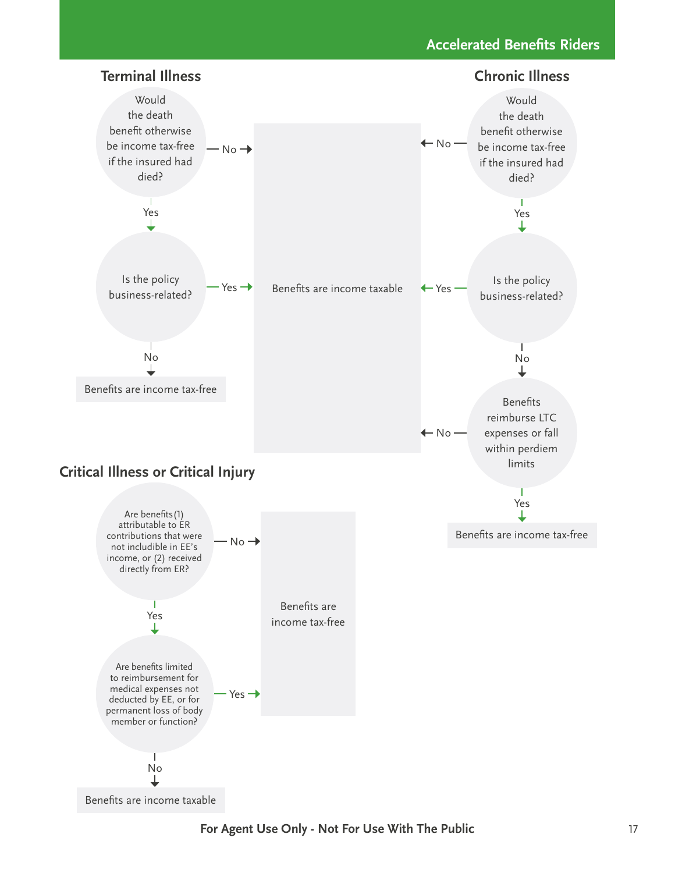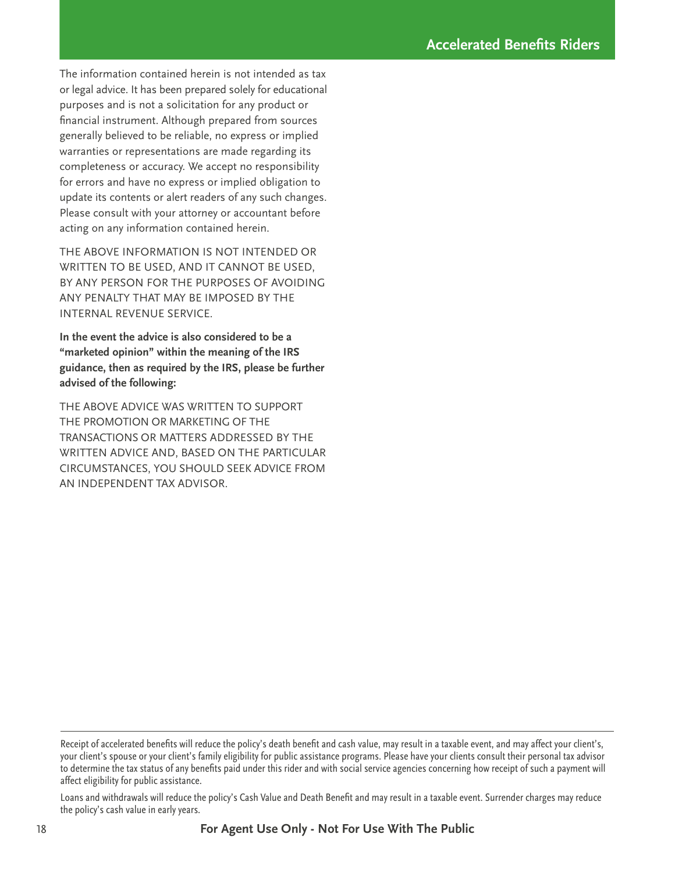The information contained herein is not intended as tax or legal advice. It has been prepared solely for educational purposes and is not a solicitation for any product or financial instrument. Although prepared from sources generally believed to be reliable, no express or implied warranties or representations are made regarding its completeness or accuracy. We accept no responsibility for errors and have no express or implied obligation to update its contents or alert readers of any such changes. Please consult with your attorney or accountant before acting on any information contained herein.

THE ABOVE INFORMATION IS NOT INTENDED OR WRITTEN TO BE USED, AND IT CANNOT BE USED, BY ANY PERSON FOR THE PURPOSES OF AVOIDING ANY PENALTY THAT MAY BE IMPOSED BY THE INTERNAL REVENUE SERVICE.

**In the event the advice is also considered to be a "marketed opinion" within the meaning of the IRS guidance, then as required by the IRS, please be further advised of the following:**

THE ABOVE ADVICE WAS WRITTEN TO SUPPORT THE PROMOTION OR MARKETING OF THE TRANSACTIONS OR MATTERS ADDRESSED BY THE WRITTEN ADVICE AND, BASED ON THE PARTICULAR CIRCUMSTANCES, YOU SHOULD SEEK ADVICE FROM AN INDEPENDENT TAX ADVISOR.

Loans and withdrawals will reduce the policy's Cash Value and Death Benefit and may result in a taxable event. Surrender charges may reduce the policy's cash value in early years.

Receipt of accelerated benefits will reduce the policy's death benefit and cash value, may result in a taxable event, and may affect your client's, your client's spouse or your client's family eligibility for public assistance programs. Please have your clients consult their personal tax advisor to determine the tax status of any benefits paid under this rider and with social service agencies concerning how receipt of such a payment will affect eligibility for public assistance.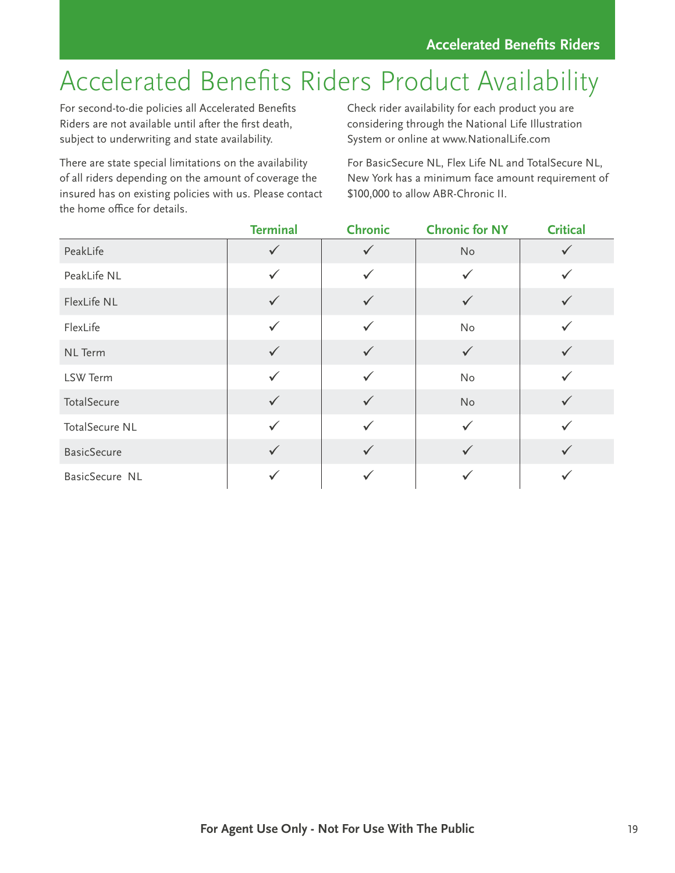## <span id="page-18-0"></span>Accelerated Benefits Riders Product Availability

For second-to-die policies all Accelerated Benefits Riders are not available until after the first death, subject to underwriting and state availability.

There are state special limitations on the availability of all riders depending on the amount of coverage the insured has on existing policies with us. Please contact the home office for details.

Check rider availability for each product you are considering through the National Life Illustration System or online at www.NationalLife.com

For BasicSecure NL, Flex Life NL and TotalSecure NL, New York has a minimum face amount requirement of \$100,000 to allow ABR-Chronic II.

|                    | <b>Terminal</b> | <b>Chronic</b> | <b>Chronic for NY</b> | <b>Critical</b> |
|--------------------|-----------------|----------------|-----------------------|-----------------|
| PeakLife           | $\checkmark$    | $\checkmark$   | No                    |                 |
| PeakLife NL        | $\checkmark$    | $\checkmark$   | $\checkmark$          |                 |
| FlexLife NL        | $\checkmark$    | $\checkmark$   | $\checkmark$          |                 |
| FlexLife           | $\checkmark$    | $\checkmark$   | No                    |                 |
| NL Term            | $\checkmark$    | $\checkmark$   | $\checkmark$          | $\checkmark$    |
| LSW Term           | $\checkmark$    | ✓              | No                    |                 |
| TotalSecure        | $\checkmark$    | $\checkmark$   | No                    | $\checkmark$    |
| TotalSecure NL     | $\checkmark$    | ✓              | $\checkmark$          |                 |
| <b>BasicSecure</b> | $\checkmark$    | $\checkmark$   | $\checkmark$          | $\checkmark$    |
| BasicSecure NL     | $\checkmark$    |                | $\checkmark$          |                 |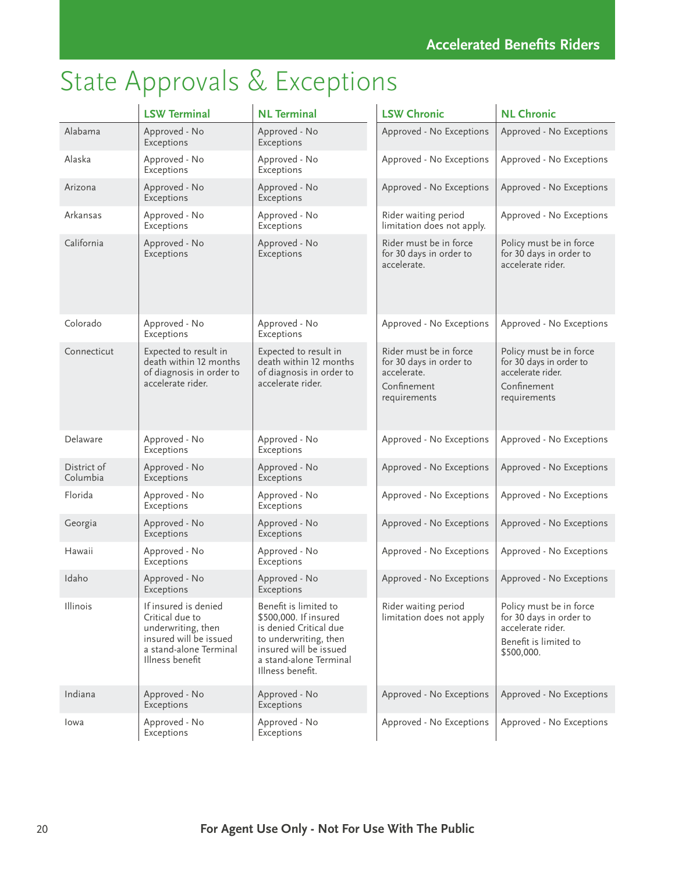# <span id="page-19-0"></span>State Approvals & Exceptions

|                         | <b>LSW Terminal</b>                                                                                                                  | <b>NL</b> Terminal                                                                                                                                                        | <b>LSW Chronic</b>                                                                              | <b>NL Chronic</b>                                                                                              |
|-------------------------|--------------------------------------------------------------------------------------------------------------------------------------|---------------------------------------------------------------------------------------------------------------------------------------------------------------------------|-------------------------------------------------------------------------------------------------|----------------------------------------------------------------------------------------------------------------|
| Alabama                 | Approved - No<br>Exceptions                                                                                                          | Approved - No<br>Exceptions                                                                                                                                               | Approved - No Exceptions                                                                        | Approved - No Exceptions                                                                                       |
| Alaska                  | Approved - No<br>Exceptions                                                                                                          | Approved - No<br>Exceptions                                                                                                                                               | Approved - No Exceptions                                                                        | Approved - No Exceptions                                                                                       |
| Arizona                 | Approved - No<br>Exceptions                                                                                                          | Approved - No<br>Exceptions                                                                                                                                               | Approved - No Exceptions                                                                        | Approved - No Exceptions                                                                                       |
| Arkansas                | Approved - No<br>Exceptions                                                                                                          | Approved - No<br>Exceptions                                                                                                                                               | Rider waiting period<br>limitation does not apply.                                              | Approved - No Exceptions                                                                                       |
| California              | Approved - No<br>Exceptions                                                                                                          | Approved - No<br>Exceptions                                                                                                                                               | Rider must be in force<br>for 30 days in order to<br>accelerate.                                | Policy must be in force<br>for 30 days in order to<br>accelerate rider.                                        |
| Colorado                | Approved - No<br>Exceptions                                                                                                          | Approved - No<br>Exceptions                                                                                                                                               | Approved - No Exceptions                                                                        | Approved - No Exceptions                                                                                       |
| Connecticut             | Expected to result in<br>death within 12 months<br>of diagnosis in order to<br>accelerate rider.                                     | Expected to result in<br>death within 12 months<br>of diagnosis in order to<br>accelerate rider.                                                                          | Rider must be in force<br>for 30 days in order to<br>accelerate.<br>Confinement<br>requirements | Policy must be in force<br>for 30 days in order to<br>accelerate rider.<br>Confinement<br>requirements         |
| Delaware                | Approved - No<br>Exceptions                                                                                                          | Approved - No<br>Exceptions                                                                                                                                               | Approved - No Exceptions                                                                        | Approved - No Exceptions                                                                                       |
| District of<br>Columbia | Approved - No<br>Exceptions                                                                                                          | Approved - No<br>Exceptions                                                                                                                                               | Approved - No Exceptions                                                                        | Approved - No Exceptions                                                                                       |
| Florida                 | Approved - No<br>Exceptions                                                                                                          | Approved - No<br>Exceptions                                                                                                                                               | Approved - No Exceptions                                                                        | Approved - No Exceptions                                                                                       |
| Georgia                 | Approved - No<br>Exceptions                                                                                                          | Approved - No<br>Exceptions                                                                                                                                               | Approved - No Exceptions                                                                        | Approved - No Exceptions                                                                                       |
| Hawaii                  | Approved - No<br>Exceptions                                                                                                          | Approved - No<br>Exceptions                                                                                                                                               | Approved - No Exceptions                                                                        | Approved - No Exceptions                                                                                       |
| Idaho                   | Approved - No<br>Exceptions                                                                                                          | Approved - No<br>Exceptions                                                                                                                                               | Approved - No Exceptions                                                                        | Approved - No Exceptions                                                                                       |
| Illinois                | If insured is denied<br>Critical due to<br>underwriting, then<br>insured will be issued<br>a stand-alone Terminal<br>Illness benefit | Benefit is limited to<br>\$500,000. If insured<br>is denied Critical due<br>to underwriting, then<br>insured will be issued<br>a stand-alone Terminal<br>Illness benefit. | Rider waiting period<br>limitation does not apply                                               | Policy must be in force<br>for 30 days in order to<br>accelerate rider.<br>Benefit is limited to<br>\$500,000. |
| Indiana                 | Approved - No<br>Exceptions                                                                                                          | Approved - No<br>Exceptions                                                                                                                                               | Approved - No Exceptions                                                                        | Approved - No Exceptions                                                                                       |
| lowa                    | Approved - No<br>Exceptions                                                                                                          | Approved - No<br>Exceptions                                                                                                                                               | Approved - No Exceptions                                                                        | Approved - No Exceptions                                                                                       |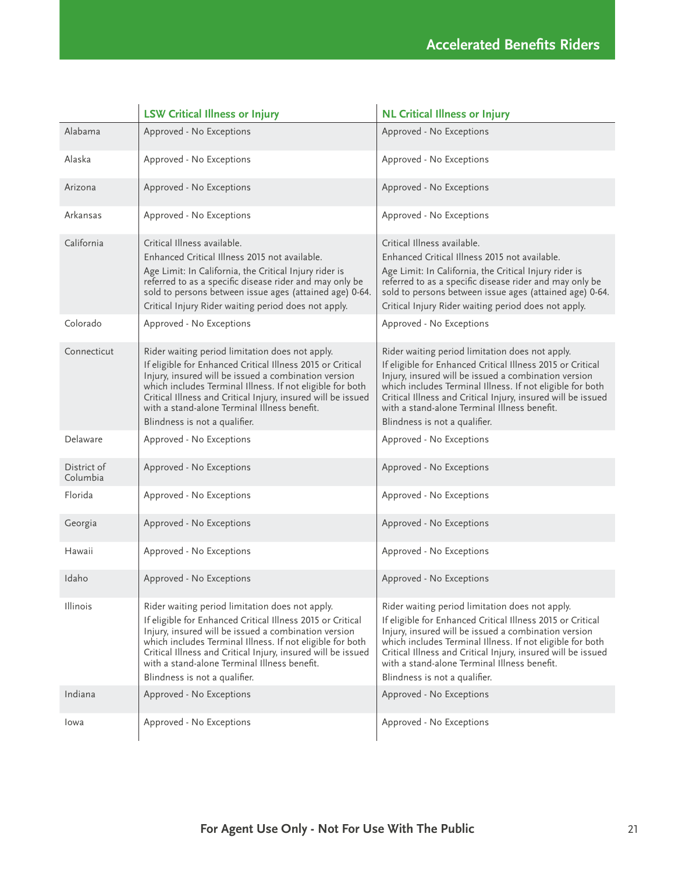|                         | <b>LSW Critical Illness or Injury</b>                                                                                                                                                                                                                                                                                                                                               | <b>NL Critical Illness or Injury</b>                                                                                                                                                                                                                                                                                                                                                |
|-------------------------|-------------------------------------------------------------------------------------------------------------------------------------------------------------------------------------------------------------------------------------------------------------------------------------------------------------------------------------------------------------------------------------|-------------------------------------------------------------------------------------------------------------------------------------------------------------------------------------------------------------------------------------------------------------------------------------------------------------------------------------------------------------------------------------|
| Alabama                 | Approved - No Exceptions                                                                                                                                                                                                                                                                                                                                                            | Approved - No Exceptions                                                                                                                                                                                                                                                                                                                                                            |
| Alaska                  | Approved - No Exceptions                                                                                                                                                                                                                                                                                                                                                            | Approved - No Exceptions                                                                                                                                                                                                                                                                                                                                                            |
| Arizona                 | Approved - No Exceptions                                                                                                                                                                                                                                                                                                                                                            | Approved - No Exceptions                                                                                                                                                                                                                                                                                                                                                            |
| Arkansas                | Approved - No Exceptions                                                                                                                                                                                                                                                                                                                                                            | Approved - No Exceptions                                                                                                                                                                                                                                                                                                                                                            |
| California              | Critical Illness available.<br>Enhanced Critical Illness 2015 not available.<br>Age Limit: In California, the Critical Injury rider is<br>referred to as a specific disease rider and may only be<br>sold to persons between issue ages (attained age) 0-64.<br>Critical Injury Rider waiting period does not apply.                                                                | Critical Illness available.<br>Enhanced Critical Illness 2015 not available.<br>Age Limit: In California, the Critical Injury rider is<br>referred to as a specific disease rider and may only be<br>sold to persons between issue ages (attained age) 0-64.<br>Critical Injury Rider waiting period does not apply.                                                                |
| Colorado                | Approved - No Exceptions                                                                                                                                                                                                                                                                                                                                                            | Approved - No Exceptions                                                                                                                                                                                                                                                                                                                                                            |
| Connecticut             | Rider waiting period limitation does not apply.<br>If eligible for Enhanced Critical Illness 2015 or Critical<br>Injury, insured will be issued a combination version<br>which includes Terminal Illness. If not eligible for both<br>Critical Illness and Critical Injury, insured will be issued<br>with a stand-alone Terminal Illness benefit.<br>Blindness is not a qualifier. | Rider waiting period limitation does not apply.<br>If eligible for Enhanced Critical Illness 2015 or Critical<br>Injury, insured will be issued a combination version<br>which includes Terminal Illness. If not eligible for both<br>Critical Illness and Critical Injury, insured will be issued<br>with a stand-alone Terminal Illness benefit.<br>Blindness is not a qualifier. |
| Delaware                | Approved - No Exceptions                                                                                                                                                                                                                                                                                                                                                            | Approved - No Exceptions                                                                                                                                                                                                                                                                                                                                                            |
| District of<br>Columbia | Approved - No Exceptions                                                                                                                                                                                                                                                                                                                                                            | Approved - No Exceptions                                                                                                                                                                                                                                                                                                                                                            |
| Florida                 | Approved - No Exceptions                                                                                                                                                                                                                                                                                                                                                            | Approved - No Exceptions                                                                                                                                                                                                                                                                                                                                                            |
| Georgia                 | Approved - No Exceptions                                                                                                                                                                                                                                                                                                                                                            | Approved - No Exceptions                                                                                                                                                                                                                                                                                                                                                            |
| Hawaii                  | Approved - No Exceptions                                                                                                                                                                                                                                                                                                                                                            | Approved - No Exceptions                                                                                                                                                                                                                                                                                                                                                            |
| Idaho                   | Approved - No Exceptions                                                                                                                                                                                                                                                                                                                                                            | Approved - No Exceptions                                                                                                                                                                                                                                                                                                                                                            |
| Illinois                | Rider waiting period limitation does not apply.<br>If eligible for Enhanced Critical Illness 2015 or Critical<br>Injury, insured will be issued a combination version<br>which includes Terminal Illness. If not eligible for both<br>Critical Illness and Critical Injury, insured will be issued<br>with a stand-alone Terminal Illness benefit.<br>Blindness is not a qualifier. | Rider waiting period limitation does not apply.<br>If eligible for Enhanced Critical Illness 2015 or Critical<br>Injury, insured will be issued a combination version<br>which includes Terminal Illness. If not eligible for both<br>Critical Illness and Critical Injury, insured will be issued<br>with a stand-alone Terminal Illness benefit.<br>Blindness is not a qualifier. |
| Indiana                 | Approved - No Exceptions                                                                                                                                                                                                                                                                                                                                                            | Approved - No Exceptions                                                                                                                                                                                                                                                                                                                                                            |
| Iowa                    | Approved - No Exceptions                                                                                                                                                                                                                                                                                                                                                            | Approved - No Exceptions                                                                                                                                                                                                                                                                                                                                                            |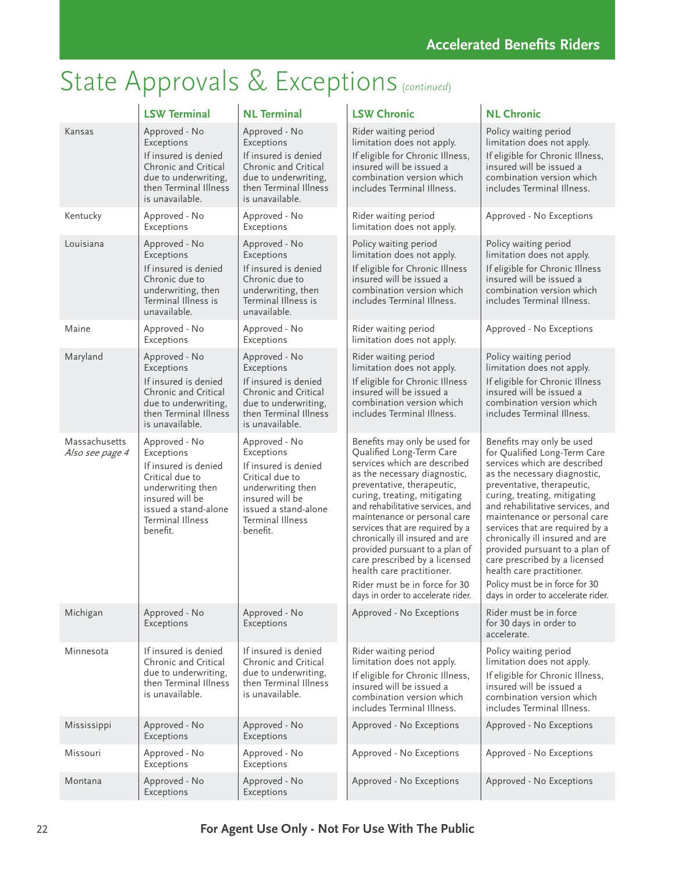## State Approvals & Exceptions (*continued*)

|                                  | <b>LSW Terminal</b>                                                                                                                                                           | <b>NL</b> Terminal                                                                                                                                                     | <b>LSW Chronic</b>                                                                                                                                                                                                                                                                                                                                                                                                                                                                                       | <b>NL Chronic</b>                                                                                                                                                                                                                                                                                                                                                                                                                                                                                         |
|----------------------------------|-------------------------------------------------------------------------------------------------------------------------------------------------------------------------------|------------------------------------------------------------------------------------------------------------------------------------------------------------------------|----------------------------------------------------------------------------------------------------------------------------------------------------------------------------------------------------------------------------------------------------------------------------------------------------------------------------------------------------------------------------------------------------------------------------------------------------------------------------------------------------------|-----------------------------------------------------------------------------------------------------------------------------------------------------------------------------------------------------------------------------------------------------------------------------------------------------------------------------------------------------------------------------------------------------------------------------------------------------------------------------------------------------------|
| Kansas                           | Approved - No<br>Exceptions                                                                                                                                                   | Approved - No<br>Exceptions                                                                                                                                            | Rider waiting period<br>limitation does not apply.                                                                                                                                                                                                                                                                                                                                                                                                                                                       | Policy waiting period<br>limitation does not apply.                                                                                                                                                                                                                                                                                                                                                                                                                                                       |
|                                  | If insured is denied<br>Chronic and Critical<br>due to underwriting,<br>then Terminal Illness<br>is unavailable.                                                              | If insured is denied<br>Chronic and Critical<br>due to underwriting,<br>then Terminal Illness<br>is unavailable.                                                       | If eligible for Chronic Illness,<br>insured will be issued a<br>combination version which<br>includes Terminal Illness.                                                                                                                                                                                                                                                                                                                                                                                  | If eligible for Chronic Illness,<br>insured will be issued a<br>combination version which<br>includes Terminal Illness.                                                                                                                                                                                                                                                                                                                                                                                   |
| Kentucky                         | Approved - No<br>Exceptions                                                                                                                                                   | Approved - No<br>Exceptions                                                                                                                                            | Rider waiting period<br>limitation does not apply.                                                                                                                                                                                                                                                                                                                                                                                                                                                       | Approved - No Exceptions                                                                                                                                                                                                                                                                                                                                                                                                                                                                                  |
| Louisiana                        | Approved - No<br>Exceptions<br>If insured is denied<br>Chronic due to<br>underwriting, then<br>Terminal Illness is<br>unavailable.                                            | Approved - No<br>Exceptions<br>If insured is denied<br>Chronic due to<br>underwriting, then<br>Terminal Illness is<br>unavailable.                                     | Policy waiting period<br>limitation does not apply.<br>If eligible for Chronic Illness<br>insured will be issued a<br>combination version which<br>includes Terminal Illness.                                                                                                                                                                                                                                                                                                                            | Policy waiting period<br>limitation does not apply.<br>If eligible for Chronic Illness<br>insured will be issued a<br>combination version which<br>includes Terminal Illness.                                                                                                                                                                                                                                                                                                                             |
| Maine                            | Approved - No<br>Exceptions                                                                                                                                                   | Approved - No<br>Exceptions                                                                                                                                            | Rider waiting period<br>limitation does not apply.                                                                                                                                                                                                                                                                                                                                                                                                                                                       | Approved - No Exceptions                                                                                                                                                                                                                                                                                                                                                                                                                                                                                  |
| Maryland                         | Approved - No<br>Exceptions<br>If insured is denied<br>Chronic and Critical<br>due to underwriting,<br>then Terminal Illness<br>is unavailable.                               | Approved - No<br>Exceptions<br>If insured is denied<br>Chronic and Critical<br>due to underwriting,<br>then Terminal Illness<br>is unavailable.                        | Rider waiting period<br>limitation does not apply.<br>If eligible for Chronic Illness<br>insured will be issued a<br>combination version which<br>includes Terminal Illness.                                                                                                                                                                                                                                                                                                                             | Policy waiting period<br>limitation does not apply.<br>If eligible for Chronic Illness<br>insured will be issued a<br>combination version which<br>includes Terminal Illness.                                                                                                                                                                                                                                                                                                                             |
| Massachusetts<br>Also see page 4 | Approved - No<br>Exceptions<br>If insured is denied<br>Critical due to<br>underwriting then<br>insured will be<br>issued a stand-alone<br><b>Terminal Illness</b><br>benefit. | Approved - No<br>Exceptions<br>If insured is denied<br>Critical due to<br>underwriting then<br>insured will be<br>issued a stand-alone<br>Terminal Illness<br>benefit. | Benefits may only be used for<br>Qualified Long-Term Care<br>services which are described<br>as the necessary diagnostic,<br>preventative, therapeutic,<br>curing, treating, mitigating<br>and rehabilitative services, and<br>maintenance or personal care<br>services that are required by a<br>chronically ill insured and are<br>provided pursuant to a plan of<br>care prescribed by a licensed<br>health care practitioner.<br>Rider must be in force for 30<br>days in order to accelerate rider. | Benefits may only be used<br>for Qualified Long-Term Care<br>services which are described<br>as the necessary diagnostic,<br>preventative, therapeutic,<br>curing, treating, mitigating<br>and rehabilitative services, and<br>maintenance or personal care<br>services that are required by a<br>chronically ill insured and are<br>provided pursuant to a plan of<br>care prescribed by a licensed<br>health care practitioner.<br>Policy must be in force for 30<br>days in order to accelerate rider. |
| Michigan                         | Approved - No<br>Exceptions                                                                                                                                                   | Approved - No<br>Exceptions                                                                                                                                            | Approved - No Exceptions                                                                                                                                                                                                                                                                                                                                                                                                                                                                                 | Rider must be in force<br>for 30 days in order to<br>accelerate.                                                                                                                                                                                                                                                                                                                                                                                                                                          |
| Minnesota                        | If insured is denied<br>Chronic and Critical<br>due to underwriting,<br>then Terminal Illness<br>is unavailable.                                                              | If insured is denied<br>Chronic and Critical<br>due to underwriting,<br>then Terminal Illness<br>is unavailable.                                                       | Rider waiting period<br>limitation does not apply.<br>If eligible for Chronic Illness,<br>insured will be issued a<br>combination version which<br>includes Terminal Illness.                                                                                                                                                                                                                                                                                                                            | Policy waiting period<br>limitation does not apply.<br>If eligible for Chronic Illness,<br>insured will be issued a<br>combination version which<br>includes Terminal Illness.                                                                                                                                                                                                                                                                                                                            |
| Mississippi                      | Approved - No<br>Exceptions                                                                                                                                                   | Approved - No<br>Exceptions                                                                                                                                            | Approved - No Exceptions                                                                                                                                                                                                                                                                                                                                                                                                                                                                                 | Approved - No Exceptions                                                                                                                                                                                                                                                                                                                                                                                                                                                                                  |
| Missouri                         | Approved - No<br>Exceptions                                                                                                                                                   | Approved - No<br>Exceptions                                                                                                                                            | Approved - No Exceptions                                                                                                                                                                                                                                                                                                                                                                                                                                                                                 | Approved - No Exceptions                                                                                                                                                                                                                                                                                                                                                                                                                                                                                  |
| Montana                          | Approved - No<br>Exceptions                                                                                                                                                   | Approved - No<br>Exceptions                                                                                                                                            | Approved - No Exceptions                                                                                                                                                                                                                                                                                                                                                                                                                                                                                 | Approved - No Exceptions                                                                                                                                                                                                                                                                                                                                                                                                                                                                                  |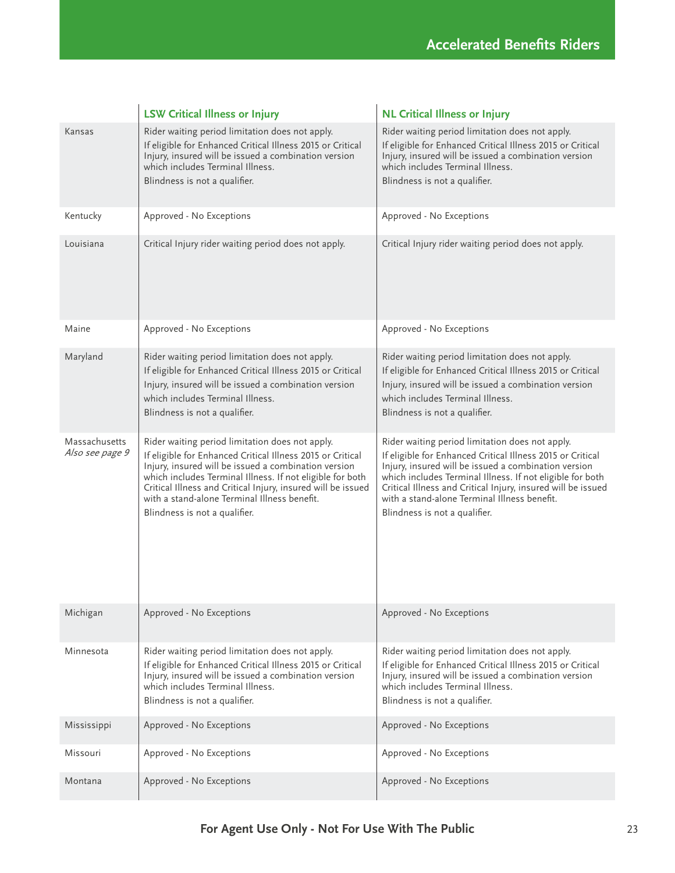|                                  | <b>LSW Critical Illness or Injury</b>                                                                                                                                                                                                                                                                                                                                               | <b>NL Critical Illness or Injury</b>                                                                                                                                                                                                                                                                                                                                                |
|----------------------------------|-------------------------------------------------------------------------------------------------------------------------------------------------------------------------------------------------------------------------------------------------------------------------------------------------------------------------------------------------------------------------------------|-------------------------------------------------------------------------------------------------------------------------------------------------------------------------------------------------------------------------------------------------------------------------------------------------------------------------------------------------------------------------------------|
| Kansas                           | Rider waiting period limitation does not apply.<br>If eligible for Enhanced Critical Illness 2015 or Critical<br>Injury, insured will be issued a combination version<br>which includes Terminal Illness.<br>Blindness is not a qualifier.                                                                                                                                          | Rider waiting period limitation does not apply.<br>If eligible for Enhanced Critical Illness 2015 or Critical<br>Injury, insured will be issued a combination version<br>which includes Terminal Illness.<br>Blindness is not a qualifier.                                                                                                                                          |
| Kentucky                         | Approved - No Exceptions                                                                                                                                                                                                                                                                                                                                                            | Approved - No Exceptions                                                                                                                                                                                                                                                                                                                                                            |
| Louisiana                        | Critical Injury rider waiting period does not apply.                                                                                                                                                                                                                                                                                                                                | Critical Injury rider waiting period does not apply.                                                                                                                                                                                                                                                                                                                                |
| Maine                            | Approved - No Exceptions                                                                                                                                                                                                                                                                                                                                                            | Approved - No Exceptions                                                                                                                                                                                                                                                                                                                                                            |
| Maryland                         | Rider waiting period limitation does not apply.<br>If eligible for Enhanced Critical Illness 2015 or Critical<br>Injury, insured will be issued a combination version<br>which includes Terminal Illness.<br>Blindness is not a qualifier.                                                                                                                                          | Rider waiting period limitation does not apply.<br>If eligible for Enhanced Critical Illness 2015 or Critical<br>Injury, insured will be issued a combination version<br>which includes Terminal Illness.<br>Blindness is not a qualifier.                                                                                                                                          |
| Massachusetts<br>Also see page 9 | Rider waiting period limitation does not apply.<br>If eligible for Enhanced Critical Illness 2015 or Critical<br>Injury, insured will be issued a combination version<br>which includes Terminal Illness. If not eligible for both<br>Critical Illness and Critical Injury, insured will be issued<br>with a stand-alone Terminal Illness benefit.<br>Blindness is not a qualifier. | Rider waiting period limitation does not apply.<br>If eligible for Enhanced Critical Illness 2015 or Critical<br>Injury, insured will be issued a combination version<br>which includes Terminal Illness. If not eligible for both<br>Critical Illness and Critical Injury, insured will be issued<br>with a stand-alone Terminal Illness benefit.<br>Blindness is not a qualifier. |
| Michigan                         | Approved - No Exceptions                                                                                                                                                                                                                                                                                                                                                            | Approved - No Exceptions                                                                                                                                                                                                                                                                                                                                                            |
| Minnesota                        | Rider waiting period limitation does not apply.<br>If eligible for Enhanced Critical Illness 2015 or Critical<br>Injury, insured will be issued a combination version<br>which includes Terminal Illness.<br>Blindness is not a qualifier.                                                                                                                                          | Rider waiting period limitation does not apply.<br>If eligible for Enhanced Critical Illness 2015 or Critical<br>Injury, insured will be issued a combination version<br>which includes Terminal Illness.<br>Blindness is not a qualifier.                                                                                                                                          |
| Mississippi                      | Approved - No Exceptions                                                                                                                                                                                                                                                                                                                                                            | Approved - No Exceptions                                                                                                                                                                                                                                                                                                                                                            |
| Missouri                         | Approved - No Exceptions                                                                                                                                                                                                                                                                                                                                                            | Approved - No Exceptions                                                                                                                                                                                                                                                                                                                                                            |
| Montana                          | Approved - No Exceptions                                                                                                                                                                                                                                                                                                                                                            | Approved - No Exceptions                                                                                                                                                                                                                                                                                                                                                            |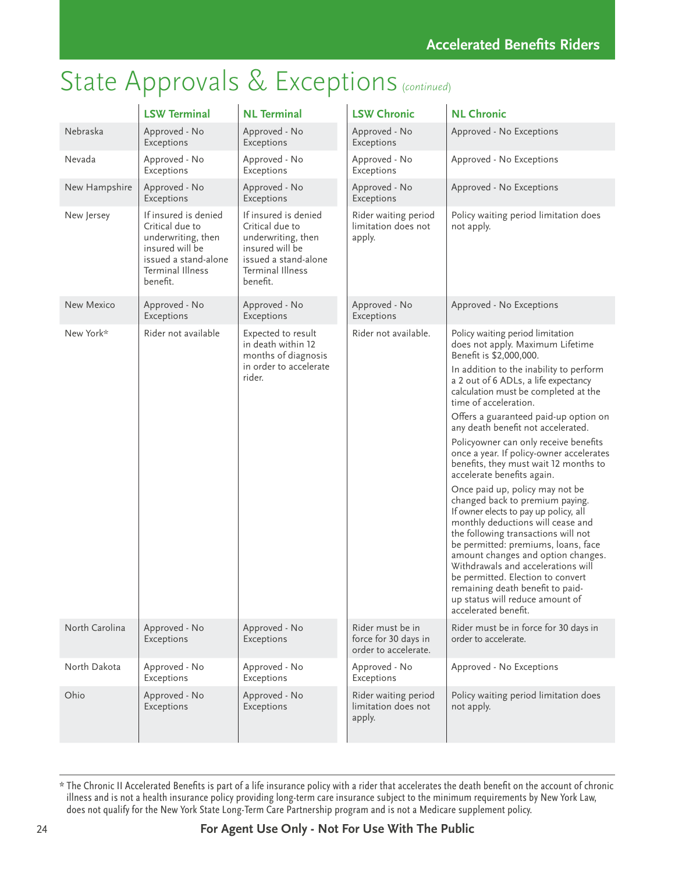## State Approvals & Exceptions (*continued*)

|                | <b>LSW Terminal</b>                                                                                                                      | <b>NL</b> Terminal                                                                                                                              | <b>LSW Chronic</b>                                               | <b>NL Chronic</b>                                                                                                                                                                                                                                                                                                                                                                                                                                                                                                                                                                                                                                                                                                                                                                                                                                                                                                                                |
|----------------|------------------------------------------------------------------------------------------------------------------------------------------|-------------------------------------------------------------------------------------------------------------------------------------------------|------------------------------------------------------------------|--------------------------------------------------------------------------------------------------------------------------------------------------------------------------------------------------------------------------------------------------------------------------------------------------------------------------------------------------------------------------------------------------------------------------------------------------------------------------------------------------------------------------------------------------------------------------------------------------------------------------------------------------------------------------------------------------------------------------------------------------------------------------------------------------------------------------------------------------------------------------------------------------------------------------------------------------|
| Nebraska       | Approved - No<br>Exceptions                                                                                                              | Approved - No<br>Exceptions                                                                                                                     | Approved - No<br>Exceptions                                      | Approved - No Exceptions                                                                                                                                                                                                                                                                                                                                                                                                                                                                                                                                                                                                                                                                                                                                                                                                                                                                                                                         |
| Nevada         | Approved - No<br>Exceptions                                                                                                              | Approved - No<br>Exceptions                                                                                                                     | Approved - No<br>Exceptions                                      | Approved - No Exceptions                                                                                                                                                                                                                                                                                                                                                                                                                                                                                                                                                                                                                                                                                                                                                                                                                                                                                                                         |
| New Hampshire  | Approved - No<br>Exceptions                                                                                                              | Approved - No<br>Exceptions                                                                                                                     | Approved - No<br>Exceptions                                      | Approved - No Exceptions                                                                                                                                                                                                                                                                                                                                                                                                                                                                                                                                                                                                                                                                                                                                                                                                                                                                                                                         |
| New Jersey     | If insured is denied<br>Critical due to<br>underwriting, then<br>insured will be<br>issued a stand-alone<br>Terminal Illness<br>benefit. | If insured is denied<br>Critical due to<br>underwriting, then<br>insured will be<br>issued a stand-alone<br><b>Terminal Illness</b><br>benefit. | Rider waiting period<br>limitation does not<br>apply.            | Policy waiting period limitation does<br>not apply.                                                                                                                                                                                                                                                                                                                                                                                                                                                                                                                                                                                                                                                                                                                                                                                                                                                                                              |
| New Mexico     | Approved - No<br>Exceptions                                                                                                              | Approved - No<br>Exceptions                                                                                                                     | Approved - No<br>Exceptions                                      | Approved - No Exceptions                                                                                                                                                                                                                                                                                                                                                                                                                                                                                                                                                                                                                                                                                                                                                                                                                                                                                                                         |
| New York*      | Rider not available                                                                                                                      | Expected to result<br>in death within 12<br>months of diagnosis<br>in order to accelerate<br>rider.                                             | Rider not available.                                             | Policy waiting period limitation<br>does not apply. Maximum Lifetime<br>Benefit is \$2,000,000.<br>In addition to the inability to perform<br>a 2 out of 6 ADLs, a life expectancy<br>calculation must be completed at the<br>time of acceleration.<br>Offers a guaranteed paid-up option on<br>any death benefit not accelerated.<br>Policyowner can only receive benefits<br>once a year. If policy-owner accelerates<br>benefits, they must wait 12 months to<br>accelerate benefits again.<br>Once paid up, policy may not be<br>changed back to premium paying.<br>If owner elects to pay up policy, all<br>monthly deductions will cease and<br>the following transactions will not<br>be permitted: premiums, loans, face<br>amount changes and option changes.<br>Withdrawals and accelerations will<br>be permitted. Election to convert<br>remaining death benefit to paid-<br>up status will reduce amount of<br>accelerated benefit. |
| North Carolina | Approved - No<br>Exceptions                                                                                                              | Approved - No<br>Exceptions                                                                                                                     | Rider must be in<br>force for 30 days in<br>order to accelerate. | Rider must be in force for 30 days in<br>order to accelerate.                                                                                                                                                                                                                                                                                                                                                                                                                                                                                                                                                                                                                                                                                                                                                                                                                                                                                    |
| North Dakota   | Approved - No<br>Exceptions                                                                                                              | Approved - No<br>Exceptions                                                                                                                     | Approved - No<br>Exceptions                                      | Approved - No Exceptions                                                                                                                                                                                                                                                                                                                                                                                                                                                                                                                                                                                                                                                                                                                                                                                                                                                                                                                         |
| Ohio           | Approved - No<br>Exceptions                                                                                                              | Approved - No<br>Exceptions                                                                                                                     | Rider waiting period<br>limitation does not<br>apply.            | Policy waiting period limitation does<br>not apply.                                                                                                                                                                                                                                                                                                                                                                                                                                                                                                                                                                                                                                                                                                                                                                                                                                                                                              |

<sup>\*</sup> The Chronic II Accelerated Benefits is part of a life insurance policy with a rider that accelerates the death benefit on the account of chronic illness and is not a health insurance policy providing long-term care insurance subject to the minimum requirements by New York Law, does not qualify for the New York State Long-Term Care Partnership program and is not a Medicare supplement policy.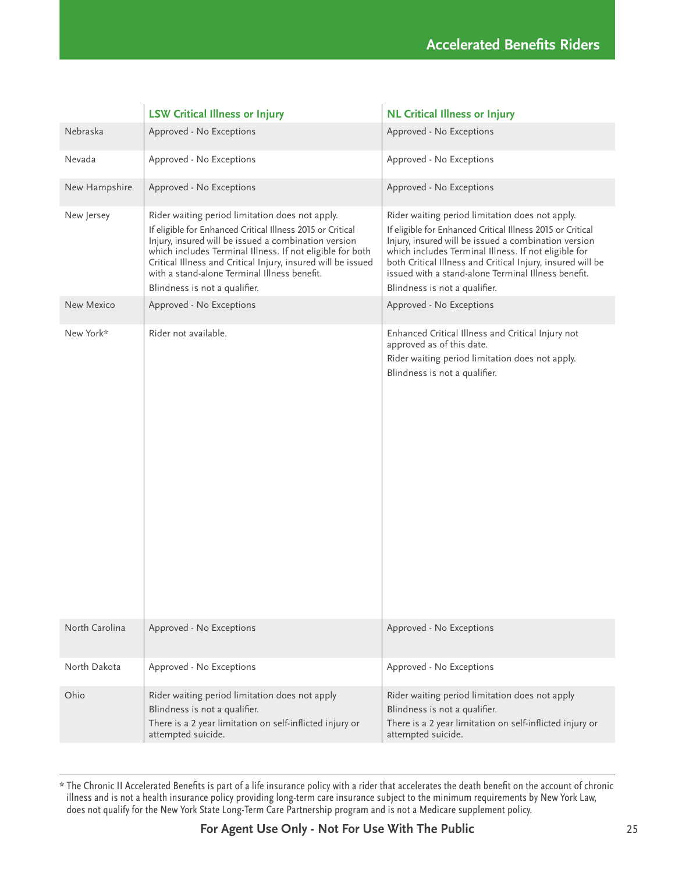|                | <b>LSW Critical Illness or Injury</b>                                                                                                                                                                                                                                                                                                                                               | <b>NL Critical Illness or Injury</b>                                                                                                                                                                                                                                                                                                                                                |
|----------------|-------------------------------------------------------------------------------------------------------------------------------------------------------------------------------------------------------------------------------------------------------------------------------------------------------------------------------------------------------------------------------------|-------------------------------------------------------------------------------------------------------------------------------------------------------------------------------------------------------------------------------------------------------------------------------------------------------------------------------------------------------------------------------------|
| Nebraska       | Approved - No Exceptions                                                                                                                                                                                                                                                                                                                                                            | Approved - No Exceptions                                                                                                                                                                                                                                                                                                                                                            |
| Nevada         | Approved - No Exceptions                                                                                                                                                                                                                                                                                                                                                            | Approved - No Exceptions                                                                                                                                                                                                                                                                                                                                                            |
| New Hampshire  | Approved - No Exceptions                                                                                                                                                                                                                                                                                                                                                            | Approved - No Exceptions                                                                                                                                                                                                                                                                                                                                                            |
| New Jersey     | Rider waiting period limitation does not apply.<br>If eligible for Enhanced Critical Illness 2015 or Critical<br>Injury, insured will be issued a combination version<br>which includes Terminal Illness. If not eligible for both<br>Critical Illness and Critical Injury, insured will be issued<br>with a stand-alone Terminal Illness benefit.<br>Blindness is not a qualifier. | Rider waiting period limitation does not apply.<br>If eligible for Enhanced Critical Illness 2015 or Critical<br>Injury, insured will be issued a combination version<br>which includes Terminal Illness. If not eligible for<br>both Critical Illness and Critical Injury, insured will be<br>issued with a stand-alone Terminal Illness benefit.<br>Blindness is not a qualifier. |
| New Mexico     | Approved - No Exceptions                                                                                                                                                                                                                                                                                                                                                            | Approved - No Exceptions                                                                                                                                                                                                                                                                                                                                                            |
| New York*      | Rider not available.                                                                                                                                                                                                                                                                                                                                                                | Enhanced Critical Illness and Critical Injury not<br>approved as of this date.<br>Rider waiting period limitation does not apply.<br>Blindness is not a qualifier.                                                                                                                                                                                                                  |
| North Carolina | Approved - No Exceptions                                                                                                                                                                                                                                                                                                                                                            | Approved - No Exceptions                                                                                                                                                                                                                                                                                                                                                            |
| North Dakota   | Approved - No Exceptions                                                                                                                                                                                                                                                                                                                                                            | Approved - No Exceptions                                                                                                                                                                                                                                                                                                                                                            |
| Ohio           | Rider waiting period limitation does not apply<br>Blindness is not a qualifier.<br>There is a 2 year limitation on self-inflicted injury or<br>attempted suicide.                                                                                                                                                                                                                   | Rider waiting period limitation does not apply<br>Blindness is not a qualifier.<br>There is a 2 year limitation on self-inflicted injury or<br>attempted suicide.                                                                                                                                                                                                                   |

<sup>\*</sup> The Chronic II Accelerated Benefits is part of a life insurance policy with a rider that accelerates the death benefit on the account of chronic illness and is not a health insurance policy providing long-term care insurance subject to the minimum requirements by New York Law, does not qualify for the New York State Long-Term Care Partnership program and is not a Medicare supplement policy.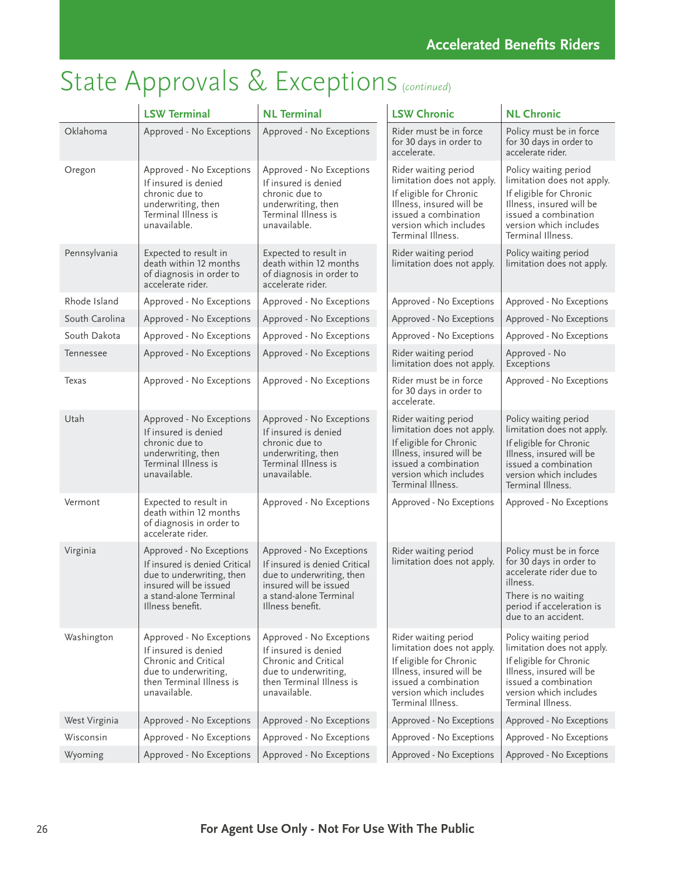## State Approvals & Exceptions (*continued*)

|                | <b>LSW Terminal</b>                                                                                                                                            | <b>NL Terminal</b>                                                                                                                                             | <b>LSW Chronic</b>                                                                                                                                                               | <b>NL Chronic</b>                                                                                                                                                                 |
|----------------|----------------------------------------------------------------------------------------------------------------------------------------------------------------|----------------------------------------------------------------------------------------------------------------------------------------------------------------|----------------------------------------------------------------------------------------------------------------------------------------------------------------------------------|-----------------------------------------------------------------------------------------------------------------------------------------------------------------------------------|
| Oklahoma       | Approved - No Exceptions                                                                                                                                       | Approved - No Exceptions                                                                                                                                       | Rider must be in force<br>for 30 days in order to<br>accelerate.                                                                                                                 | Policy must be in force<br>for 30 days in order to<br>accelerate rider.                                                                                                           |
| Oregon         | Approved - No Exceptions<br>If insured is denied<br>chronic due to<br>underwriting, then<br>Terminal Illness is<br>unavailable.                                | Approved - No Exceptions<br>If insured is denied<br>chronic due to<br>underwriting, then<br>Terminal Illness is<br>unavailable.                                | Rider waiting period<br>limitation does not apply.<br>If eligible for Chronic<br>Illness, insured will be<br>issued a combination<br>version which includes<br>Terminal Illness. | Policy waiting period<br>limitation does not apply.<br>If eligible for Chronic<br>Illness, insured will be<br>issued a combination<br>version which includes<br>Terminal Illness. |
| Pennsylvania   | Expected to result in<br>death within 12 months<br>of diagnosis in order to<br>accelerate rider.                                                               | Expected to result in<br>death within 12 months<br>of diagnosis in order to<br>accelerate rider.                                                               | Rider waiting period<br>limitation does not apply.                                                                                                                               | Policy waiting period<br>limitation does not apply.                                                                                                                               |
| Rhode Island   | Approved - No Exceptions                                                                                                                                       | Approved - No Exceptions                                                                                                                                       | Approved - No Exceptions                                                                                                                                                         | Approved - No Exceptions                                                                                                                                                          |
| South Carolina | Approved - No Exceptions                                                                                                                                       | Approved - No Exceptions                                                                                                                                       | Approved - No Exceptions                                                                                                                                                         | Approved - No Exceptions                                                                                                                                                          |
| South Dakota   | Approved - No Exceptions                                                                                                                                       | Approved - No Exceptions                                                                                                                                       | Approved - No Exceptions                                                                                                                                                         | Approved - No Exceptions                                                                                                                                                          |
| Tennessee      | Approved - No Exceptions                                                                                                                                       | Approved - No Exceptions                                                                                                                                       | Rider waiting period<br>limitation does not apply.                                                                                                                               | Approved - No<br>Exceptions                                                                                                                                                       |
| Texas          | Approved - No Exceptions                                                                                                                                       | Approved - No Exceptions                                                                                                                                       | Rider must be in force<br>for 30 days in order to<br>accelerate.                                                                                                                 | Approved - No Exceptions                                                                                                                                                          |
| Utah           | Approved - No Exceptions<br>If insured is denied<br>chronic due to<br>underwriting, then<br>Terminal Illness is<br>unavailable.                                | Approved - No Exceptions<br>If insured is denied<br>chronic due to<br>underwriting, then<br>Terminal Illness is<br>unavailable.                                | Rider waiting period<br>limitation does not apply.<br>If eligible for Chronic<br>Illness, insured will be<br>issued a combination<br>version which includes<br>Terminal Illness. | Policy waiting period<br>limitation does not apply.<br>If eligible for Chronic<br>Illness, insured will be<br>issued a combination<br>version which includes<br>Terminal Illness. |
| Vermont        | Expected to result in<br>death within 12 months<br>of diagnosis in order to<br>accelerate rider.                                                               | Approved - No Exceptions                                                                                                                                       | Approved - No Exceptions                                                                                                                                                         | Approved - No Exceptions                                                                                                                                                          |
| Virginia       | Approved - No Exceptions<br>If insured is denied Critical<br>due to underwriting, then<br>insured will be issued<br>a stand-alone Terminal<br>Illness benefit. | Approved - No Exceptions<br>If insured is denied Critical<br>due to underwriting, then<br>insured will be issued<br>a stand-alone Terminal<br>Illness benefit. | Rider waiting period<br>limitation does not apply.                                                                                                                               | Policy must be in force<br>for 30 days in order to<br>accelerate rider due to<br>illness.<br>There is no waiting<br>period if acceleration is<br>due to an accident.              |
| Washington     | Approved - No Exceptions<br>If insured is denied<br>Chronic and Critical<br>due to underwriting,<br>then Terminal Illness is<br>unavailable.                   | Approved - No Exceptions<br>If insured is denied<br>Chronic and Critical<br>due to underwriting,<br>then Terminal Illness is<br>unavailable.                   | Rider waiting period<br>limitation does not apply.<br>If eligible for Chronic<br>Illness, insured will be<br>issued a combination<br>version which includes<br>Terminal Illness. | Policy waiting period<br>limitation does not apply.<br>If eligible for Chronic<br>Illness, insured will be<br>issued a combination<br>version which includes<br>Terminal Illness. |
| West Virginia  | Approved - No Exceptions                                                                                                                                       | Approved - No Exceptions                                                                                                                                       | Approved - No Exceptions                                                                                                                                                         | Approved - No Exceptions                                                                                                                                                          |
| Wisconsin      | Approved - No Exceptions                                                                                                                                       | Approved - No Exceptions                                                                                                                                       | Approved - No Exceptions                                                                                                                                                         | Approved - No Exceptions                                                                                                                                                          |
| Wyoming        | Approved - No Exceptions   Approved - No Exceptions                                                                                                            |                                                                                                                                                                |                                                                                                                                                                                  | Approved - No Exceptions   Approved - No Exceptions                                                                                                                               |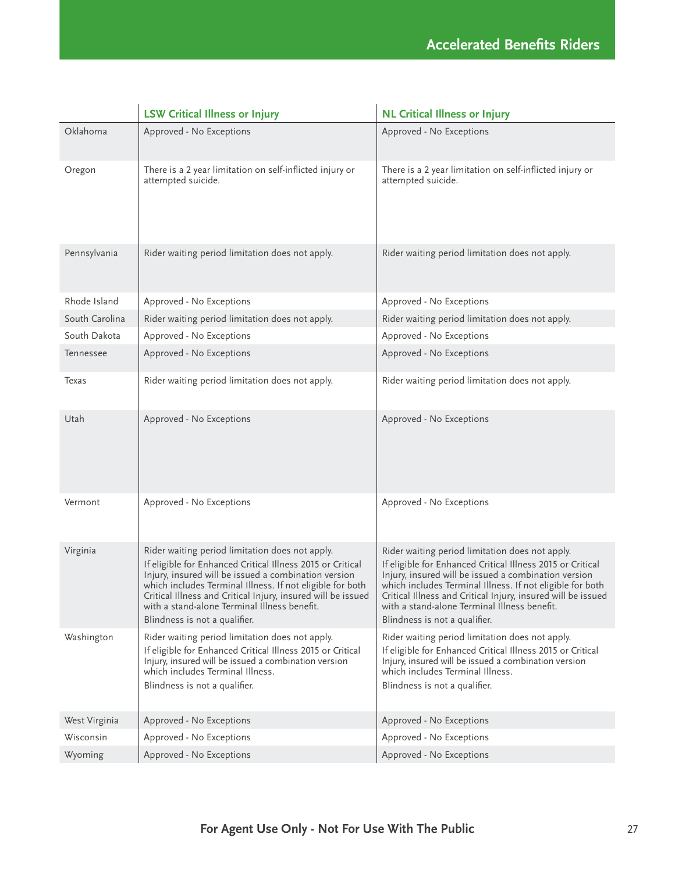|                | <b>LSW Critical Illness or Injury</b>                                                                                                                                                                                                                                                                                                                                               | <b>NL Critical Illness or Injury</b>                                                                                                                                                                                                                                                                                                                                                |
|----------------|-------------------------------------------------------------------------------------------------------------------------------------------------------------------------------------------------------------------------------------------------------------------------------------------------------------------------------------------------------------------------------------|-------------------------------------------------------------------------------------------------------------------------------------------------------------------------------------------------------------------------------------------------------------------------------------------------------------------------------------------------------------------------------------|
| Oklahoma       | Approved - No Exceptions                                                                                                                                                                                                                                                                                                                                                            | Approved - No Exceptions                                                                                                                                                                                                                                                                                                                                                            |
| Oregon         | There is a 2 year limitation on self-inflicted injury or<br>attempted suicide.                                                                                                                                                                                                                                                                                                      | There is a 2 year limitation on self-inflicted injury or<br>attempted suicide.                                                                                                                                                                                                                                                                                                      |
| Pennsylvania   | Rider waiting period limitation does not apply.                                                                                                                                                                                                                                                                                                                                     | Rider waiting period limitation does not apply.                                                                                                                                                                                                                                                                                                                                     |
| Rhode Island   | Approved - No Exceptions                                                                                                                                                                                                                                                                                                                                                            | Approved - No Exceptions                                                                                                                                                                                                                                                                                                                                                            |
| South Carolina | Rider waiting period limitation does not apply.                                                                                                                                                                                                                                                                                                                                     | Rider waiting period limitation does not apply.                                                                                                                                                                                                                                                                                                                                     |
| South Dakota   | Approved - No Exceptions                                                                                                                                                                                                                                                                                                                                                            | Approved - No Exceptions                                                                                                                                                                                                                                                                                                                                                            |
| Tennessee      | Approved - No Exceptions                                                                                                                                                                                                                                                                                                                                                            | Approved - No Exceptions                                                                                                                                                                                                                                                                                                                                                            |
| Texas          | Rider waiting period limitation does not apply.                                                                                                                                                                                                                                                                                                                                     | Rider waiting period limitation does not apply.                                                                                                                                                                                                                                                                                                                                     |
| Utah           | Approved - No Exceptions                                                                                                                                                                                                                                                                                                                                                            | Approved - No Exceptions                                                                                                                                                                                                                                                                                                                                                            |
| Vermont        | Approved - No Exceptions                                                                                                                                                                                                                                                                                                                                                            | Approved - No Exceptions                                                                                                                                                                                                                                                                                                                                                            |
| Virginia       | Rider waiting period limitation does not apply.<br>If eligible for Enhanced Critical Illness 2015 or Critical<br>Injury, insured will be issued a combination version<br>which includes Terminal Illness. If not eligible for both<br>Critical Illness and Critical Injury, insured will be issued<br>with a stand-alone Terminal Illness benefit.<br>Blindness is not a qualifier. | Rider waiting period limitation does not apply.<br>If eligible for Enhanced Critical Illness 2015 or Critical<br>Injury, insured will be issued a combination version<br>which includes Terminal Illness. If not eligible for both<br>Critical Illness and Critical Injury, insured will be issued<br>with a stand-alone Terminal Illness benefit.<br>Blindness is not a qualifier. |
| Washington     | Rider waiting period limitation does not apply.<br>If eligible for Enhanced Critical Illness 2015 or Critical<br>Injury, insured will be issued a combination version<br>which includes Terminal Illness.<br>Blindness is not a qualifier.                                                                                                                                          | Rider waiting period limitation does not apply.<br>If eligible for Enhanced Critical Illness 2015 or Critical<br>Injury, insured will be issued a combination version<br>which includes Terminal Illness.<br>Blindness is not a qualifier.                                                                                                                                          |
| West Virginia  | Approved - No Exceptions                                                                                                                                                                                                                                                                                                                                                            | Approved - No Exceptions                                                                                                                                                                                                                                                                                                                                                            |
| Wisconsin      | Approved - No Exceptions                                                                                                                                                                                                                                                                                                                                                            | Approved - No Exceptions                                                                                                                                                                                                                                                                                                                                                            |
| Wyoming        | Approved - No Exceptions                                                                                                                                                                                                                                                                                                                                                            | Approved - No Exceptions                                                                                                                                                                                                                                                                                                                                                            |